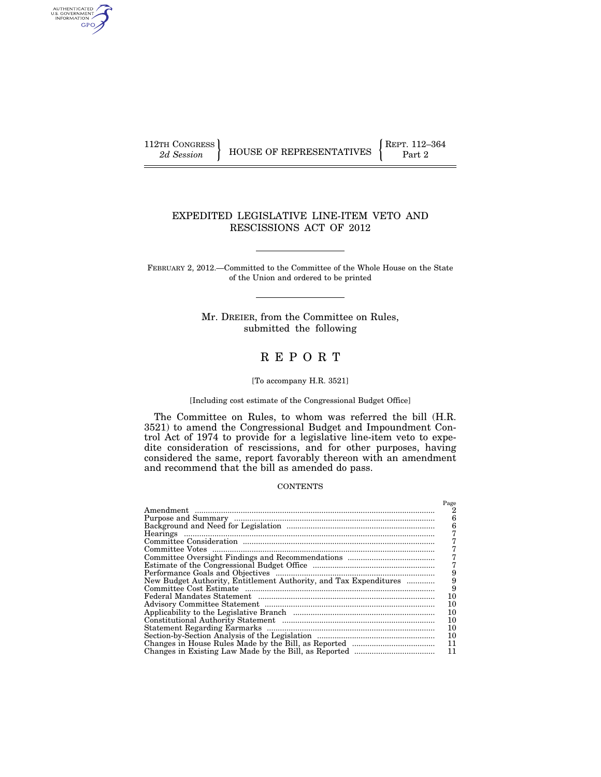AUTHENTICATED<br>U.S. GOVERNMENT<br>INFORMATION GPO

## 112TH CONGRESS **REPRESENTATIVES** REPRESENTATIVES **Part 2** Part 2

#### EXPEDITED LEGISLATIVE LINE-ITEM VETO AND RESCISSIONS ACT OF 2012

FEBRUARY 2, 2012.—Committed to the Committee of the Whole House on the State of the Union and ordered to be printed

> Mr. DREIER, from the Committee on Rules, submitted the following

### R E P O R T

#### [To accompany H.R. 3521]

#### [Including cost estimate of the Congressional Budget Office]

The Committee on Rules, to whom was referred the bill (H.R. 3521) to amend the Congressional Budget and Impoundment Control Act of 1974 to provide for a legislative line-item veto to expedite consideration of rescissions, and for other purposes, having considered the same, report favorably thereon with an amendment and recommend that the bill as amended do pass.

#### **CONTENTS**

|                                                                   | Page |
|-------------------------------------------------------------------|------|
|                                                                   |      |
|                                                                   | 6    |
|                                                                   | 6    |
|                                                                   |      |
|                                                                   |      |
|                                                                   |      |
|                                                                   |      |
|                                                                   |      |
|                                                                   | 9    |
| New Budget Authority, Entitlement Authority, and Tax Expenditures | 9    |
|                                                                   | 9    |
|                                                                   | 10   |
|                                                                   | 10   |
|                                                                   | 10   |
|                                                                   | 10   |
|                                                                   | 10   |
|                                                                   | 10   |
|                                                                   | 11   |
|                                                                   | 11   |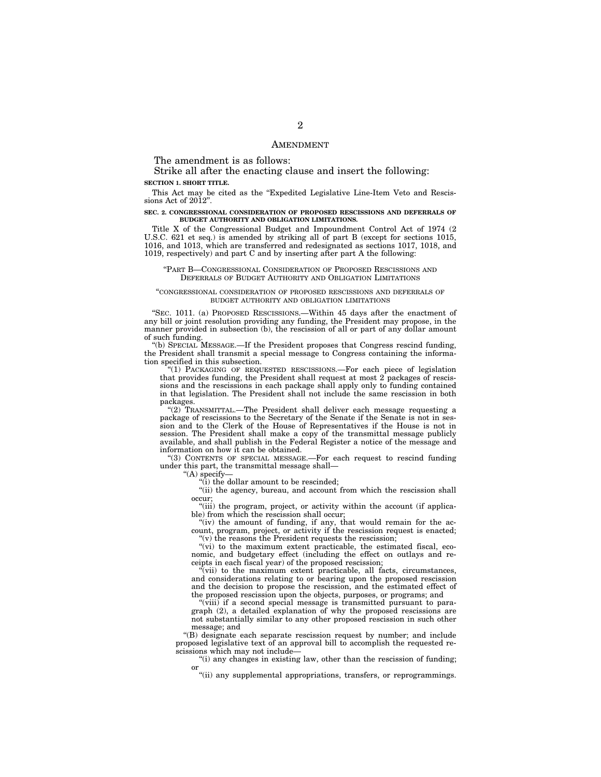#### AMENDMENT

The amendment is as follows:

Strike all after the enacting clause and insert the following: **SECTION 1. SHORT TITLE.** 

This Act may be cited as the ''Expedited Legislative Line-Item Veto and Rescissions Act of 2012''.

#### **SEC. 2. CONGRESSIONAL CONSIDERATION OF PROPOSED RESCISSIONS AND DEFERRALS OF BUDGET AUTHORITY AND OBLIGATION LIMITATIONS.**

Title X of the Congressional Budget and Impoundment Control Act of 1974 (2 U.S.C. 621 et seq.) is amended by striking all of part B (except for sections 1015, 1016, and 1013, which are transferred and redesignated as sections 1017, 1018, and 1019, respectively) and part C and by inserting after part A the following:

''PART B—CONGRESSIONAL CONSIDERATION OF PROPOSED RESCISSIONS AND DEFERRALS OF BUDGET AUTHORITY AND OBLIGATION LIMITATIONS

#### ''CONGRESSIONAL CONSIDERATION OF PROPOSED RESCISSIONS AND DEFERRALS OF BUDGET AUTHORITY AND OBLIGATION LIMITATIONS

"SEC. 1011. (a) PROPOSED RESCISSIONS.—Within 45 days after the enactment of any bill or joint resolution providing any funding, the President may propose, in the manner provided in subsection (b), the rescission of all or part of any dollar amount of such funding.

''(b) SPECIAL MESSAGE.—If the President proposes that Congress rescind funding, the President shall transmit a special message to Congress containing the information specified in this subsection.

''(1) PACKAGING OF REQUESTED RESCISSIONS.—For each piece of legislation that provides funding, the President shall request at most 2 packages of rescissions and the rescissions in each package shall apply only to funding contained in that legislation. The President shall not include the same rescission in both packages.

''(2) TRANSMITTAL.—The President shall deliver each message requesting a package of rescissions to the Secretary of the Senate if the Senate is not in session and to the Clerk of the House of Representatives if the House is not in session. The President shall make a copy of the transmittal message publicly available, and shall publish in the Federal Register a notice of the message and information on how it can be obtained.

''(3) CONTENTS OF SPECIAL MESSAGE.—For each request to rescind funding under this part, the transmittal message shall—

 $H(A)$  specify-

 $\hat{f}$ ) the dollar amount to be rescinded;

''(ii) the agency, bureau, and account from which the rescission shall

occur; "(iii) the program, project, or activity within the account (if applicable) from which the rescission shall occur;

"(iv) the amount of funding, if any, that would remain for the account, program, project, or activity if the rescission request is enacted;  $\widetilde{f}(v)$  the reasons the President requests the rescission;

 $(vi)$  to the maximum extent practicable, the estimated fiscal, economic, and budgetary effect (including the effect on outlays and receipts in each fiscal year) of the proposed rescission;

(vii) to the maximum extent practicable, all facts, circumstances, and considerations relating to or bearing upon the proposed rescission and the decision to propose the rescission, and the estimated effect of the proposed rescission upon the objects, purposes, or programs; and

"(viii) if a second special message is transmitted pursuant to paragraph (2), a detailed explanation of why the proposed rescissions are not substantially similar to any other proposed rescission in such other message; and

''(B) designate each separate rescission request by number; and include proposed legislative text of an approval bill to accomplish the requested rescissions which may not include—

''(i) any changes in existing law, other than the rescission of funding; or

"(ii) any supplemental appropriations, transfers, or reprogrammings.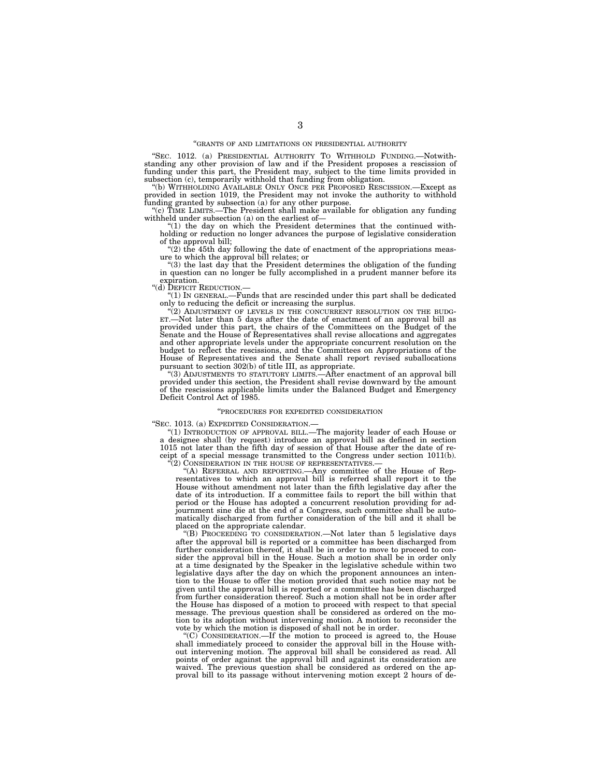#### ''GRANTS OF AND LIMITATIONS ON PRESIDENTIAL AUTHORITY

''SEC. 1012. (a) PRESIDENTIAL AUTHORITY TO WITHHOLD FUNDING.—Notwith-standing any other provision of law and if the President proposes a rescission of funding under this part, the President may, subject to the time limits provided in subsection (c), temporarily withhold that funding from obligation.

''(b) WITHHOLDING AVAILABLE ONLY ONCE PER PROPOSED RESCISSION.—Except as provided in section 1019, the President may not invoke the authority to withhold funding granted by subsection (a) for any other purpose.<br>"(c) TIME LIMITS.—The President shall make available for obligation any funding

withheld under subsection (a) on the earliest of—

 $''(1)$  the day on which the President determines that the continued withholding or reduction no longer advances the purpose of legislative consideration of the approval bill;

''(2) the 45th day following the date of enactment of the appropriations measure to which the approval bill relates; or

''(3) the last day that the President determines the obligation of the funding in question can no longer be fully accomplished in a prudent manner before its expiration.<br>"(d) DEFICIT REDUCTION.-

" $(1)$  IN GENERAL.—Funds that are rescinded under this part shall be dedicated only to reducing the deficit or increasing the surplus.

''(2) ADJUSTMENT OF LEVELS IN THE CONCURRENT RESOLUTION ON THE BUDG-ET.—Not later than 5 days after the date of enactment of an approval bill as provided under this part, the chairs of the Committees on the Budget of the Senate and the House of Representatives shall revise allocations and aggregates and other appropriate levels under the appropriate concurrent resolution on the budget to reflect the rescissions, and the Committees on Appropriations of the House of Representatives and the Senate shall report revised suballocations pursuant to section 302(b) of title III, as appropriate.

''(3) ADJUSTMENTS TO STATUTORY LIMITS.—After enactment of an approval bill provided under this section, the President shall revise downward by the amount of the rescissions applicable limits under the Balanced Budget and Emergency Deficit Control Act of 1985.

#### ''PROCEDURES FOR EXPEDITED CONSIDERATION

#### ''SEC. 1013. (a) EXPEDITED CONSIDERATION.—

''(1) INTRODUCTION OF APPROVAL BILL.—The majority leader of each House or a designee shall (by request) introduce an approval bill as defined in section 1015 not later than the fifth day of session of that House after the date of receipt of a special message transmitted to the Congress under section 1011(b).  $\tilde{f}(2)$  CONSIDERATION IN THE HOUSE OF REPRESENTATIVES.

''(A) REFERRAL AND REPORTING.—Any committee of the House of Representatives to which an approval bill is referred shall report it to the House without amendment not later than the fifth legislative day after the date of its introduction. If a committee fails to report the bill within that period or the House has adopted a concurrent resolution providing for adjournment sine die at the end of a Congress, such committee shall be automatically discharged from further consideration of the bill and it shall be placed on the appropriate calendar.

''(B) PROCEEDING TO CONSIDERATION.—Not later than 5 legislative days after the approval bill is reported or a committee has been discharged from further consideration thereof, it shall be in order to move to proceed to consider the approval bill in the House. Such a motion shall be in order only at a time designated by the Speaker in the legislative schedule within two legislative days after the day on which the proponent announces an intention to the House to offer the motion provided that such notice may not be given until the approval bill is reported or a committee has been discharged from further consideration thereof. Such a motion shall not be in order after the House has disposed of a motion to proceed with respect to that special message. The previous question shall be considered as ordered on the motion to its adoption without intervening motion. A motion to reconsider the vote by which the motion is disposed of shall not be in order.

''(C) CONSIDERATION.—If the motion to proceed is agreed to, the House shall immediately proceed to consider the approval bill in the House with-out intervening motion. The approval bill shall be considered as read. All points of order against the approval bill and against its consideration are waived. The previous question shall be considered as ordered on the approval bill to its passage without intervening motion except 2 hours of de-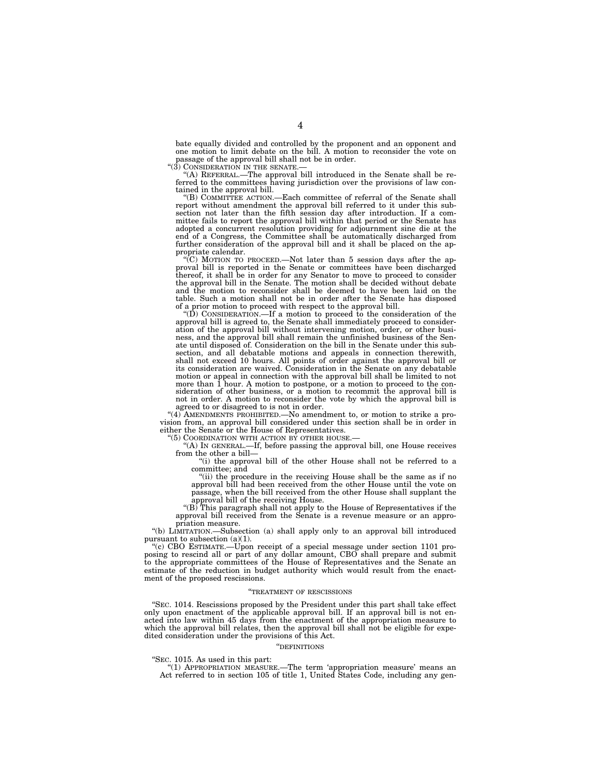bate equally divided and controlled by the proponent and an opponent and one motion to limit debate on the bill. A motion to reconsider the vote on passage of the approval bill shall not be in order. "(3) CONSIDERATION IN THE SENATE.—

 $\frac{1}{100}$  CONSIDERTATION IN THE approval bill introduced in the Senate shall be referred to the committees having jurisdiction over the provisions of law contained in the approval bill.

''(B) COMMITTEE ACTION.—Each committee of referral of the Senate shall report without amendment the approval bill referred to it under this subsection not later than the fifth session day after introduction. If a com-mittee fails to report the approval bill within that period or the Senate has adopted a concurrent resolution providing for adjournment sine die at the end of a Congress, the Committee shall be automatically discharged from further consideration of the approval bill and it shall be placed on the appropriate calendar.

''(C) MOTION TO PROCEED.—Not later than 5 session days after the ap-proval bill is reported in the Senate or committees have been discharged thereof, it shall be in order for any Senator to move to proceed to consider the approval bill in the Senate. The motion shall be decided without debate and the motion to reconsider shall be deemed to have been laid on the table. Such a motion shall not be in order after the Senate has disposed

of a prior motion to proceed with respect to the approval bill. ''(D) CONSIDERATION.—If a motion to proceed to the consideration of the approval bill is agreed to, the Senate shall immediately proceed to consider-ation of the approval bill without intervening motion, order, or other business, and the approval bill shall remain the unfinished business of the Senate until disposed of. Consideration on the bill in the Senate under this subsection, and all debatable motions and appeals in connection therewith, shall not exceed 10 hours. All points of order against the approval bill or its consideration are waived. Consideration in the Senate on any debatable motion or appeal in connection with the approval bill shall be limited to not more than 1 hour. A motion to postpone, or a motion to proceed to the con-sideration of other business, or a motion to recommit the approval bill is not in order. A motion to reconsider the vote by which the approval bill is agreed to or disagreed to is not in order.

''(4) AMENDMENTS PROHIBITED.—No amendment to, or motion to strike a pro-vision from, an approval bill considered under this section shall be in order in either the Senate or the House of Representatives.<br>"(5) COORDINATION WITH ACTION BY OTHER HOUSE.

''(5) COORDINATION WITH ACTION BY OTHER HOUSE.— ''(A) IN GENERAL.—If, before passing the approval bill, one House receives from the other a bill—

''(i) the approval bill of the other House shall not be referred to a committee; and

''(ii) the procedure in the receiving House shall be the same as if no approval bill had been received from the other House until the vote on passage, when the bill received from the other House shall supplant the approval bill of the receiving House.

"( $\overline{B}$ ) This paragraph shall not apply to the House of Representatives if the approval bill received from the Senate is a revenue measure or an appropriation measure.

''(b) LIMITATION.—Subsection (a) shall apply only to an approval bill introduced pursuant to subsection (a)(1).

''(c) CBO ESTIMATE.—Upon receipt of a special message under section 1101 proposing to rescind all or part of any dollar amount, CBO shall prepare and submit to the appropriate committees of the House of Representatives and the Senate an estimate of the reduction in budget authority which would result from the enactment of the proposed rescissions.

#### ''TREATMENT OF RESCISSIONS

''SEC. 1014. Rescissions proposed by the President under this part shall take effect only upon enactment of the applicable approval bill. If an approval bill is not enacted into law within 45 days from the enactment of the appropriation measure to which the approval bill relates, then the approval bill shall not be eligible for expedited consideration under the provisions of this Act.

#### ''DEFINITIONS

''SEC. 1015. As used in this part:

''(1) APPROPRIATION MEASURE.—The term 'appropriation measure' means an Act referred to in section 105 of title 1, United States Code, including any gen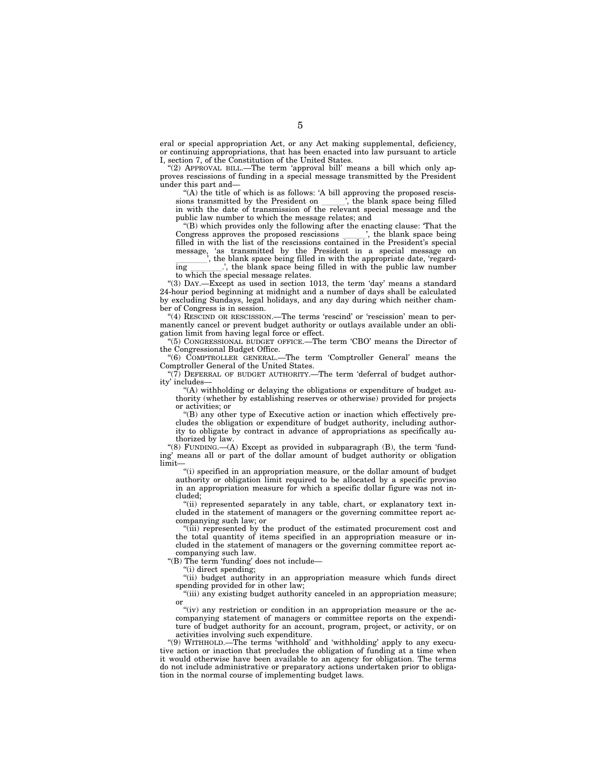eral or special appropriation Act, or any Act making supplemental, deficiency, or continuing appropriations, that has been enacted into law pursuant to article I, section 7, of the Constitution of the United States.

"(2) APPROVAL BILL.—The term 'approval bill' means a bill which only approves rescissions of funding in a special message transmitted by the President under this part and—

"(A) the title of which is as follows: 'A bill approving the proposed rescissions transmitted by the President on  $\cdot$ , the blank space being filled sions transmitted by the President on \_\_\_\_\_\_', the blank space being filled in with the date of transmission of the relevant special message and the public law number to which the message relates; and

''(B) which provides only the following after the enacting clause: 'That the Congress approves the proposed rescissions \_\_\_\_\_\_', the blank space being filled in with the list of the rescissions contained in the President's special message, 'as transmitted by the President in a special message on

llll', the blank space being filled in with the appropriate date, 'regarding \_\_\_\_\_\_\_\_.', the blank space being filled in with the public law number to which the special message relates.

''(3) DAY.—Except as used in section 1013, the term 'day' means a standard 24-hour period beginning at midnight and a number of days shall be calculated by excluding Sundays, legal holidays, and any day during which neither chamber of Congress is in session.

''(4) RESCIND OR RESCISSION.—The terms 'rescind' or 'rescission' mean to permanently cancel or prevent budget authority or outlays available under an obligation limit from having legal force or effect.

''(5) CONGRESSIONAL BUDGET OFFICE.—The term 'CBO' means the Director of the Congressional Budget Office.

"(6) COMPTROLLER GENERAL.—The term 'Comptroller General' means the Comptroller General of the United States.

"(7) DEFERRAL OF BUDGET AUTHORITY.—The term 'deferral of budget authority' includes—

''(A) withholding or delaying the obligations or expenditure of budget authority (whether by establishing reserves or otherwise) provided for projects or activities; or

''(B) any other type of Executive action or inaction which effectively precludes the obligation or expenditure of budget authority, including authority to obligate by contract in advance of appropriations as specifically authorized by law.

"(8) FUNDING.—(A) Except as provided in subparagraph (B), the term 'funding' means all or part of the dollar amount of budget authority or obligation limit—

"(i) specified in an appropriation measure, or the dollar amount of budget authority or obligation limit required to be allocated by a specific proviso in an appropriation measure for which a specific dollar figure was not included;

"(ii) represented separately in any table, chart, or explanatory text included in the statement of managers or the governing committee report accompanying such law; or

''(iii) represented by the product of the estimated procurement cost and the total quantity of items specified in an appropriation measure or included in the statement of managers or the governing committee report accompanying such law.

''(B) The term 'funding' does not include—

"(i) direct spending;

"(ii) budget authority in an appropriation measure which funds direct spending provided for in other law;

''(iii) any existing budget authority canceled in an appropriation measure; or

"(iv) any restriction or condition in an appropriation measure or the accompanying statement of managers or committee reports on the expenditure of budget authority for an account, program, project, or activity, or on activities involving such expenditure.

''(9) WITHHOLD.—The terms 'withhold' and 'withholding' apply to any executive action or inaction that precludes the obligation of funding at a time when it would otherwise have been available to an agency for obligation. The terms do not include administrative or preparatory actions undertaken prior to obligation in the normal course of implementing budget laws.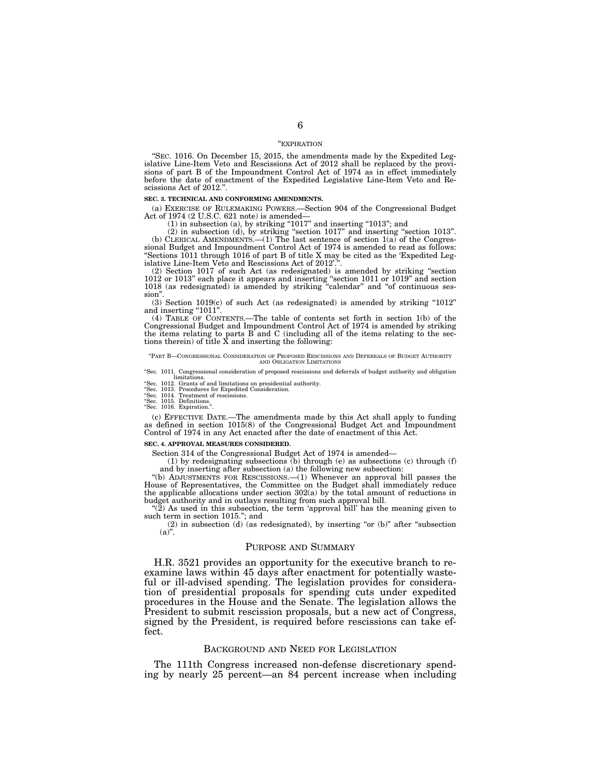#### ''EXPIRATION

''SEC. 1016. On December 15, 2015, the amendments made by the Expedited Legislative Line-Item Veto and Rescissions Act of 2012 shall be replaced by the provisions of part B of the Impoundment Control Act of 1974 as in effect immediately before the date of enactment of the Expedited Legislative Line-Item Veto and Rescissions Act of 2012.''.

#### **SEC. 3. TECHNICAL AND CONFORMING AMENDMENTS.**

(a) EXERCISE OF RULEMAKING POWERS.—Section 904 of the Congressional Budget Act of  $1974$  (2 U.S.C. 621 note) is amended—

 $(1)$  in subsection  $(a)$ , by striking "1017" and inserting "1013"; and

 $(2)$  in subsection  $(d)$ , by striking "section 1017" and inserting "section 1013". (b) CLERICAL AMENDMENTS.—(1) The last sentence of section  $1(a)$  of the Congressional Budget and Impoundment Control Act of 1974 is amended to read as follows: ''Sections 1011 through 1016 of part B of title X may be cited as the 'Expedited Legislative Line-Item Veto and Rescissions Act of 2012'.''.

(2) Section 1017 of such Act (as redesignated) is amended by striking ''section 1012 or 1013" each place it appears and inserting "section 1011 or 1019" and section 1018 (as redesignated) is amended by striking ''calendar'' and ''of continuous session''.

(3) Section  $1019(c)$  of such Act (as redesignated) is amended by striking " $1012$ " and inserting "1011"

(4) TABLE OF CONTENTS.—The table of contents set forth in section 1(b) of the Congressional Budget and Impoundment Control Act of 1974 is amended by striking the items relating to parts  $\overrightarrow{B}$  and  $\overrightarrow{C}$  (including all of the items relating to the sections therein) of title  $\dot{X}$  and inserting the following:

#### ''PART B—CONGRESSIONAL CONSIDERATION OF PROPOSED RESCISSIONS AND DEFERRALS OF BUDGET AUTHORITY AND OBLIGATION LIMITATIONS

''Sec. 1011. Congressional consideration of proposed rescissions and deferrals of budget authority and obligation

limitations.<br>"Sec. 1012. Grants of and limitations on presidential authority.<br>"Sec. 1013. Procedures for Expedited Consideration.<br>"Sec. 1014. Treatment of rescissions.<br>"Sec. 1015. Definitions.".<br>"Sec. 1016. Expiration.".

(c) EFFECTIVE DATE.—The amendments made by this Act shall apply to funding as defined in section 1015(8) of the Congressional Budget Act and Impoundment Control of 1974 in any Act enacted after the date of enactment of this Act.

#### **SEC. 4. APPROVAL MEASURES CONSIDERED.**

Section 314 of the Congressional Budget Act of 1974 is amended—

 $(1)$  by redesignating subsections  $(b)$  through  $(e)$  as subsections  $(c)$  through  $(f)$ and by inserting after subsection (a) the following new subsection:

''(b) ADJUSTMENTS FOR RESCISSIONS.—(1) Whenever an approval bill passes the House of Representatives, the Committee on the Budget shall immediately reduce the applicable allocations under section 302(a) by the total amount of reductions in budget authority and in outlays resulting from such approval bill.

''(2) As used in this subsection, the term 'approval bill' has the meaning given to such term in section 1015."; and

(2) in subsection (d) (as redesignated), by inserting "or (b)" after "subsection  $(a)^{\overline{n}}$ .

#### PURPOSE AND SUMMARY

H.R. 3521 provides an opportunity for the executive branch to reexamine laws within 45 days after enactment for potentially wasteful or ill-advised spending. The legislation provides for consideration of presidential proposals for spending cuts under expedited procedures in the House and the Senate. The legislation allows the President to submit rescission proposals, but a new act of Congress, signed by the President, is required before rescissions can take effect.

#### BACKGROUND AND NEED FOR LEGISLATION

The 111th Congress increased non-defense discretionary spending by nearly 25 percent—an 84 percent increase when including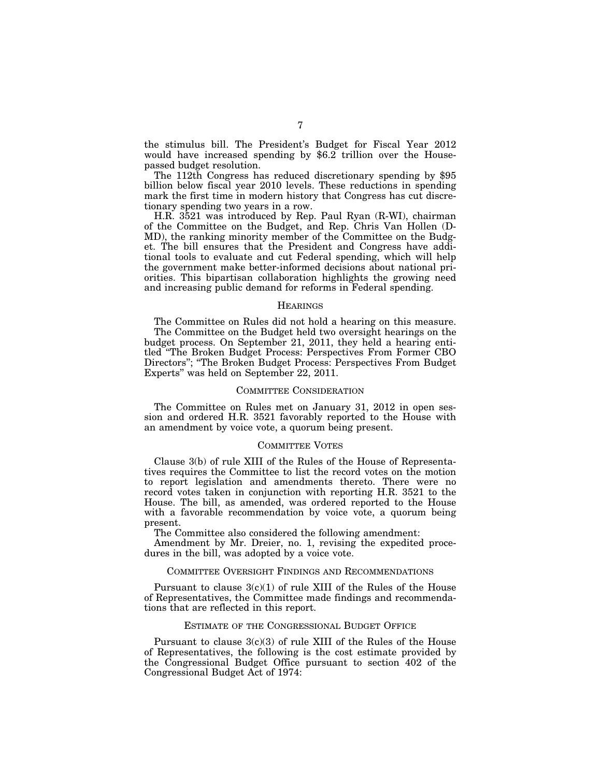the stimulus bill. The President's Budget for Fiscal Year 2012 would have increased spending by \$6.2 trillion over the Housepassed budget resolution.

The 112th Congress has reduced discretionary spending by \$95 billion below fiscal year 2010 levels. These reductions in spending mark the first time in modern history that Congress has cut discretionary spending two years in a row.

H.R. 3521 was introduced by Rep. Paul Ryan (R-WI), chairman of the Committee on the Budget, and Rep. Chris Van Hollen (D-MD), the ranking minority member of the Committee on the Budget. The bill ensures that the President and Congress have additional tools to evaluate and cut Federal spending, which will help the government make better-informed decisions about national priorities. This bipartisan collaboration highlights the growing need and increasing public demand for reforms in Federal spending.

#### **HEARINGS**

The Committee on Rules did not hold a hearing on this measure. The Committee on the Budget held two oversight hearings on the budget process. On September 21, 2011, they held a hearing entitled ''The Broken Budget Process: Perspectives From Former CBO Directors"; "The Broken Budget Process: Perspectives From Budget Experts'' was held on September 22, 2011.

#### COMMITTEE CONSIDERATION

The Committee on Rules met on January 31, 2012 in open session and ordered H.R. 3521 favorably reported to the House with an amendment by voice vote, a quorum being present.

#### COMMITTEE VOTES

Clause 3(b) of rule XIII of the Rules of the House of Representatives requires the Committee to list the record votes on the motion to report legislation and amendments thereto. There were no record votes taken in conjunction with reporting H.R. 3521 to the House. The bill, as amended, was ordered reported to the House with a favorable recommendation by voice vote, a quorum being present.

The Committee also considered the following amendment:

Amendment by Mr. Dreier, no. 1, revising the expedited procedures in the bill, was adopted by a voice vote.

#### COMMITTEE OVERSIGHT FINDINGS AND RECOMMENDATIONS

Pursuant to clause  $3(c)(1)$  of rule XIII of the Rules of the House of Representatives, the Committee made findings and recommendations that are reflected in this report.

#### ESTIMATE OF THE CONGRESSIONAL BUDGET OFFICE

Pursuant to clause 3(c)(3) of rule XIII of the Rules of the House of Representatives, the following is the cost estimate provided by the Congressional Budget Office pursuant to section 402 of the Congressional Budget Act of 1974: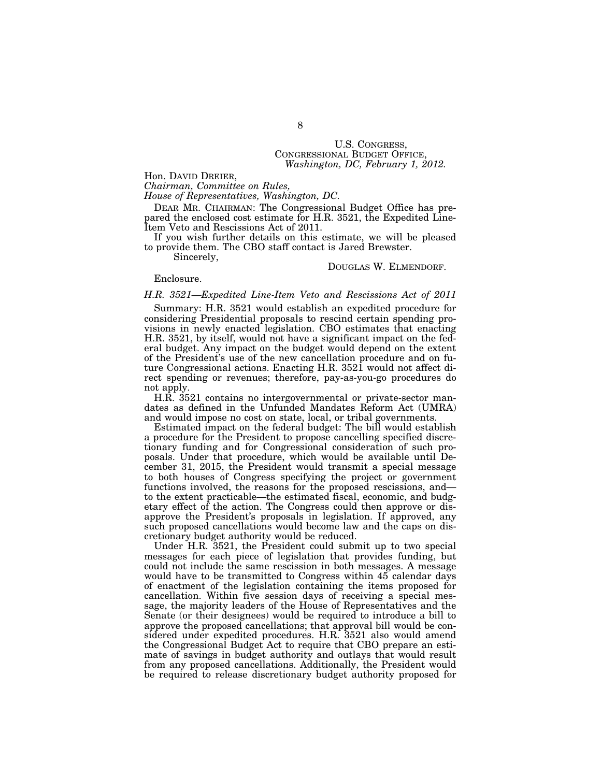# U.S. CONGRESS, CONGRESSIONAL BUDGET OFFICE, *Washington, DC, February 1, 2012.*

Hon. DAVID DREIER,

*Chairman, Committee on Rules,* 

*House of Representatives, Washington, DC.* 

DEAR MR. CHAIRMAN: The Congressional Budget Office has prepared the enclosed cost estimate for H.R. 3521, the Expedited Line-Item Veto and Rescissions Act of 2011.

If you wish further details on this estimate, we will be pleased to provide them. The CBO staff contact is Jared Brewster.

Sincerely,

#### DOUGLAS W. ELMENDORF.

Enclosure.

#### *H.R. 3521—Expedited Line-Item Veto and Rescissions Act of 2011*

Summary: H.R. 3521 would establish an expedited procedure for considering Presidential proposals to rescind certain spending provisions in newly enacted legislation. CBO estimates that enacting H.R. 3521, by itself, would not have a significant impact on the federal budget. Any impact on the budget would depend on the extent of the President's use of the new cancellation procedure and on future Congressional actions. Enacting H.R. 3521 would not affect direct spending or revenues; therefore, pay-as-you-go procedures do not apply.

H.R. 3521 contains no intergovernmental or private-sector mandates as defined in the Unfunded Mandates Reform Act (UMRA) and would impose no cost on state, local, or tribal governments.

Estimated impact on the federal budget: The bill would establish a procedure for the President to propose cancelling specified discretionary funding and for Congressional consideration of such proposals. Under that procedure, which would be available until December 31, 2015, the President would transmit a special message to both houses of Congress specifying the project or government functions involved, the reasons for the proposed rescissions, and to the extent practicable—the estimated fiscal, economic, and budgetary effect of the action. The Congress could then approve or disapprove the President's proposals in legislation. If approved, any such proposed cancellations would become law and the caps on discretionary budget authority would be reduced.

Under H.R. 3521, the President could submit up to two special messages for each piece of legislation that provides funding, but could not include the same rescission in both messages. A message would have to be transmitted to Congress within 45 calendar days of enactment of the legislation containing the items proposed for cancellation. Within five session days of receiving a special message, the majority leaders of the House of Representatives and the Senate (or their designees) would be required to introduce a bill to approve the proposed cancellations; that approval bill would be considered under expedited procedures. H.R. 3521 also would amend the Congressional Budget Act to require that CBO prepare an estimate of savings in budget authority and outlays that would result from any proposed cancellations. Additionally, the President would be required to release discretionary budget authority proposed for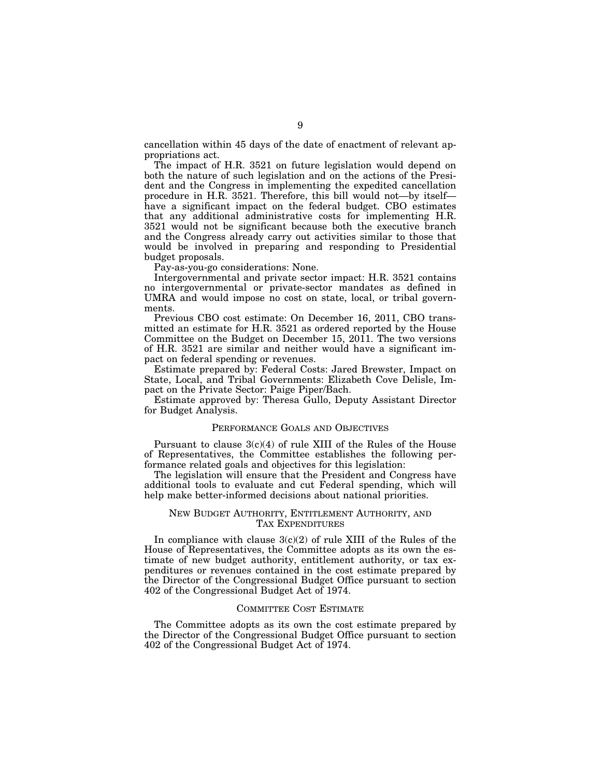cancellation within 45 days of the date of enactment of relevant appropriations act.

The impact of H.R. 3521 on future legislation would depend on both the nature of such legislation and on the actions of the President and the Congress in implementing the expedited cancellation procedure in H.R. 3521. Therefore, this bill would not—by itself have a significant impact on the federal budget. CBO estimates that any additional administrative costs for implementing H.R. 3521 would not be significant because both the executive branch and the Congress already carry out activities similar to those that would be involved in preparing and responding to Presidential budget proposals.

Pay-as-you-go considerations: None.

Intergovernmental and private sector impact: H.R. 3521 contains no intergovernmental or private-sector mandates as defined in UMRA and would impose no cost on state, local, or tribal governments.

Previous CBO cost estimate: On December 16, 2011, CBO transmitted an estimate for H.R. 3521 as ordered reported by the House Committee on the Budget on December 15, 2011. The two versions of H.R. 3521 are similar and neither would have a significant impact on federal spending or revenues.

Estimate prepared by: Federal Costs: Jared Brewster, Impact on State, Local, and Tribal Governments: Elizabeth Cove Delisle, Impact on the Private Sector: Paige Piper/Bach.

Estimate approved by: Theresa Gullo, Deputy Assistant Director for Budget Analysis.

#### PERFORMANCE GOALS AND OBJECTIVES

Pursuant to clause  $3(c)(4)$  of rule XIII of the Rules of the House of Representatives, the Committee establishes the following performance related goals and objectives for this legislation:

The legislation will ensure that the President and Congress have additional tools to evaluate and cut Federal spending, which will help make better-informed decisions about national priorities.

#### NEW BUDGET AUTHORITY, ENTITLEMENT AUTHORITY, AND TAX EXPENDITURES

In compliance with clause  $3(c)(2)$  of rule XIII of the Rules of the House of Representatives, the Committee adopts as its own the estimate of new budget authority, entitlement authority, or tax expenditures or revenues contained in the cost estimate prepared by the Director of the Congressional Budget Office pursuant to section 402 of the Congressional Budget Act of 1974.

#### COMMITTEE COST ESTIMATE

The Committee adopts as its own the cost estimate prepared by the Director of the Congressional Budget Office pursuant to section 402 of the Congressional Budget Act of 1974.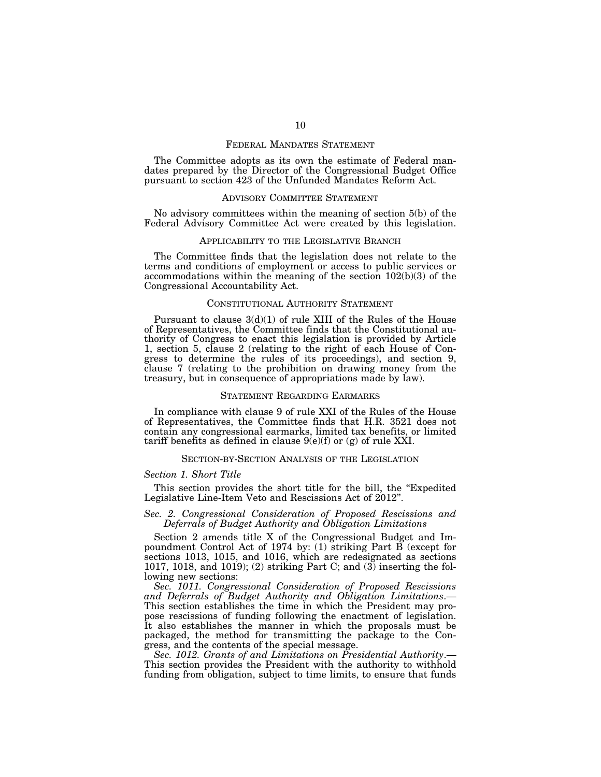#### FEDERAL MANDATES STATEMENT

The Committee adopts as its own the estimate of Federal mandates prepared by the Director of the Congressional Budget Office pursuant to section 423 of the Unfunded Mandates Reform Act.

#### ADVISORY COMMITTEE STATEMENT

No advisory committees within the meaning of section 5(b) of the Federal Advisory Committee Act were created by this legislation.

#### APPLICABILITY TO THE LEGISLATIVE BRANCH

The Committee finds that the legislation does not relate to the terms and conditions of employment or access to public services or accommodations within the meaning of the section 102(b)(3) of the Congressional Accountability Act.

#### CONSTITUTIONAL AUTHORITY STATEMENT

Pursuant to clause 3(d)(1) of rule XIII of the Rules of the House of Representatives, the Committee finds that the Constitutional authority of Congress to enact this legislation is provided by Article 1, section 5, clause 2 (relating to the right of each House of Congress to determine the rules of its proceedings), and section 9, clause 7 (relating to the prohibition on drawing money from the treasury, but in consequence of appropriations made by law).

#### STATEMENT REGARDING EARMARKS

In compliance with clause 9 of rule XXI of the Rules of the House of Representatives, the Committee finds that H.R. 3521 does not contain any congressional earmarks, limited tax benefits, or limited tariff benefits as defined in clause  $9(e)(f)$  or  $(g)$  of rule XXI.

#### SECTION-BY-SECTION ANALYSIS OF THE LEGISLATION

#### *Section 1. Short Title*

This section provides the short title for the bill, the ''Expedited Legislative Line-Item Veto and Rescissions Act of 2012''.

#### *Sec. 2. Congressional Consideration of Proposed Rescissions and Deferrals of Budget Authority and Obligation Limitations*

Section 2 amends title X of the Congressional Budget and Impoundment Control Act of 1974 by: (1) striking Part  $\overline{B}$  (except for sections 1013, 1015, and 1016, which are redesignated as sections 1017, 1018, and 1019); (2) striking Part C; and (3) inserting the following new sections:

*Sec. 1011. Congressional Consideration of Proposed Rescissions and Deferrals of Budget Authority and Obligation Limitations*.— This section establishes the time in which the President may propose rescissions of funding following the enactment of legislation. It also establishes the manner in which the proposals must be packaged, the method for transmitting the package to the Congress, and the contents of the special message.

*Sec. 1012. Grants of and Limitations on Presidential Authority*.— This section provides the President with the authority to withhold funding from obligation, subject to time limits, to ensure that funds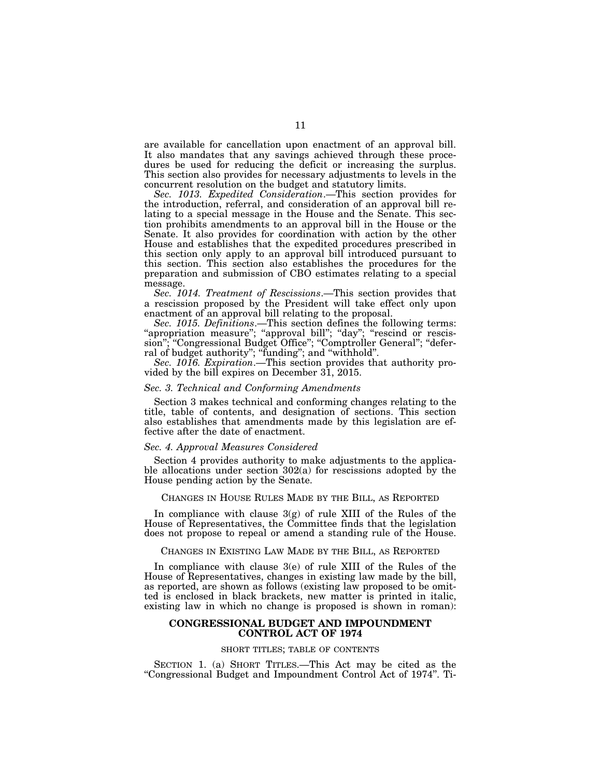are available for cancellation upon enactment of an approval bill. It also mandates that any savings achieved through these procedures be used for reducing the deficit or increasing the surplus. This section also provides for necessary adjustments to levels in the concurrent resolution on the budget and statutory limits.

*Sec. 1013. Expedited Consideration*.—This section provides for the introduction, referral, and consideration of an approval bill relating to a special message in the House and the Senate. This section prohibits amendments to an approval bill in the House or the Senate. It also provides for coordination with action by the other House and establishes that the expedited procedures prescribed in this section only apply to an approval bill introduced pursuant to this section. This section also establishes the procedures for the preparation and submission of CBO estimates relating to a special message.

*Sec. 1014. Treatment of Rescissions*.—This section provides that a rescission proposed by the President will take effect only upon enactment of an approval bill relating to the proposal.

*Sec. 1015. Definitions*.—This section defines the following terms: "apropriation measure"; "approval bill"; "day"; "rescind or rescission"; "Congressional Budget Office"; "Comptroller General"; "deferral of budget authority''; ''funding''; and ''withhold''.

*Sec. 1016. Expiration*.—This section provides that authority provided by the bill expires on December 31, 2015.

#### *Sec. 3. Technical and Conforming Amendments*

Section 3 makes technical and conforming changes relating to the title, table of contents, and designation of sections. This section also establishes that amendments made by this legislation are effective after the date of enactment.

#### *Sec. 4. Approval Measures Considered*

Section 4 provides authority to make adjustments to the applicable allocations under section 302(a) for rescissions adopted by the House pending action by the Senate.

#### CHANGES IN HOUSE RULES MADE BY THE BILL, AS REPORTED

In compliance with clause 3(g) of rule XIII of the Rules of the House of Representatives, the Committee finds that the legislation does not propose to repeal or amend a standing rule of the House.

#### CHANGES IN EXISTING LAW MADE BY THE BILL, AS REPORTED

In compliance with clause 3(e) of rule XIII of the Rules of the House of Representatives, changes in existing law made by the bill, as reported, are shown as follows (existing law proposed to be omitted is enclosed in black brackets, new matter is printed in italic, existing law in which no change is proposed is shown in roman):

#### **CONGRESSIONAL BUDGET AND IMPOUNDMENT CONTROL ACT OF 1974**

#### SHORT TITLES; TABLE OF CONTENTS

SECTION 1. (a) SHORT TITLES.—This Act may be cited as the ''Congressional Budget and Impoundment Control Act of 1974''. Ti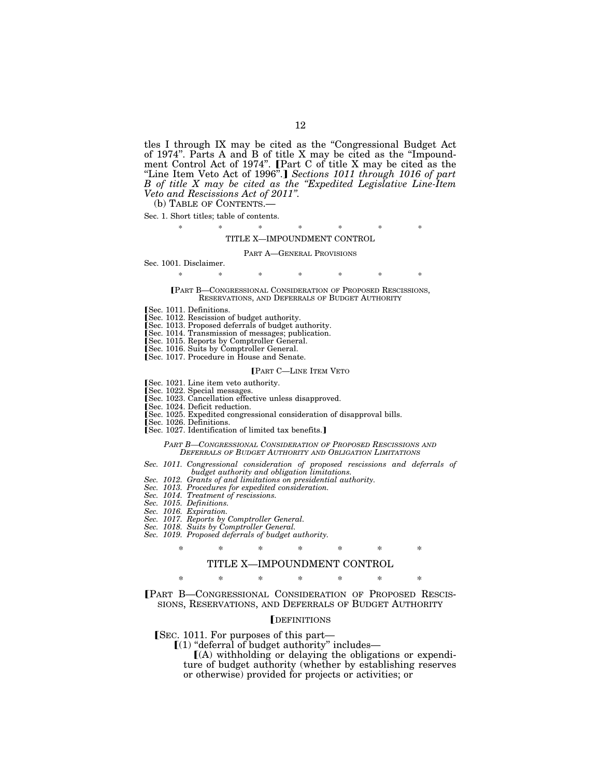tles I through IX may be cited as the ''Congressional Budget Act of 1974". Parts A and B of title X may be cited as the "Impound-<br>ment Control Act of 1974". [Part C of title X may be cited as the "Line Item Veto Act of 1996".] Sections 1011 through 1016 of part *B of title X may be cited as the ''Expedited Legislative Line-Item Veto and Rescissions Act of 2011''.* 

(b) TABLE OF CONTENTS.—

Sec. 1. Short titles; table of contents.

#### \* \* \* \* \* \* \* \*

#### TITLE X—IMPOUNDMENT CONTROL

#### PART A—GENERAL PROVISIONS

Sec. 1001. Disclaimer.

#### \* \* \* \* \* \* \* \* øPART B—CONGRESSIONAL CONSIDERATION OF PROPOSED RESCISSIONS,

RESERVATIONS, AND DEFERRALS OF BUDGET AUTHORITY

- [Sec. 1011. Definitions.
- øSec. 1012. Rescission of budget authority.
- [Sec. 1013. Proposed deferrals of budget authority.
- øSec. 1014. Transmission of messages; publication.
- [Sec. 1015. Reports by Comptroller General.
- [Sec. 1016. Suits by Comptroller General.
- øSec. 1017. Procedure in House and Senate.
	- øPART C—LINE ITEM VETO
	-
- [Sec. 1021. Line item veto authority.  $\bar{\mathbf{S}}$ ec. 1022. Special messages.
- [Sec. 1023. Cancellation effective unless disapproved.
- [Sec. 1024. Deficit reduction.
- Sec. 1025. Expedited congressional consideration of disapproval bills.
- [Sec. 1026. Definitions.
- $\mathbf{\bar{S}}$ ec. 1027. Identification of limited tax benefits.

#### *PART B—CONGRESSIONAL CONSIDERATION OF PROPOSED RESCISSIONS AND DEFERRALS OF BUDGET AUTHORITY AND OBLIGATION LIMITATIONS*

- *Sec. 1011. Congressional consideration of proposed rescissions and deferrals of budget authority and obligation limitations.*
- *Sec. 1012. Grants of and limitations on presidential authority.*
- *Sec. 1013. Procedures for expedited consideration.*
- *Sec. 1014. Treatment of rescissions.*
- *Sec. 1015. Definitions.*
- *Sec. 1016. Expiration.*
- *Sec. 1017. Reports by Comptroller General.*
- *Sec. 1018. Suits by Comptroller General.*
- *Sec. 1019. Proposed deferrals of budget authority.*

#### \* \* \* \* \* \* \*

#### TITLE X—IMPOUNDMENT CONTROL

\* \* \* \* \* \* \*

<sup>ø</sup>PART B—CONGRESSIONAL CONSIDERATION OF PROPOSED RESCIS- SIONS, RESERVATIONS, AND DEFERRALS OF BUDGET AUTHORITY

#### **[DEFINITIONS**

[SEC. 1011. For purposes of this part—

 $[(1)$  "deferral of budget authority" includes—

 $(A)$  withholding or delaying the obligations or expenditure of budget authority (whether by establishing reserves or otherwise) provided for projects or activities; or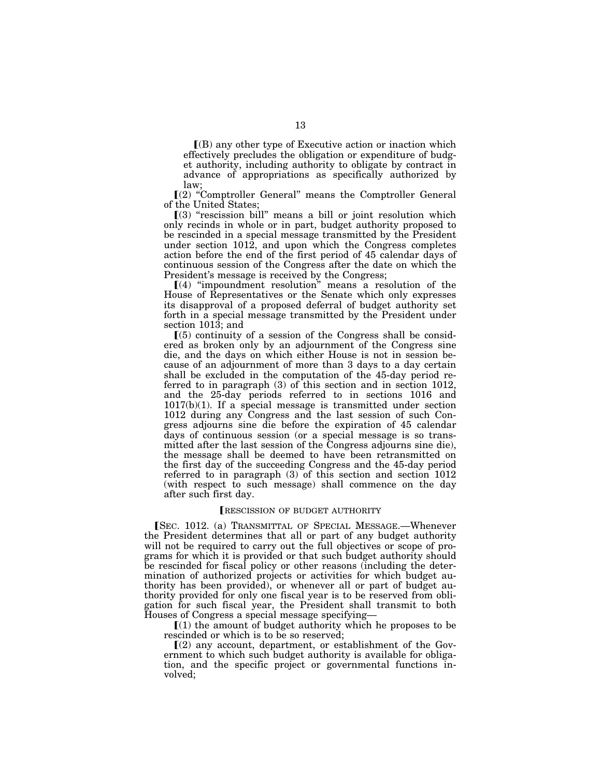$\Gamma(B)$  any other type of Executive action or inaction which effectively precludes the obligation or expenditure of budget authority, including authority to obligate by contract in advance of appropriations as specifically authorized by law;

ø(2) ''Comptroller General'' means the Comptroller General of the United States;

 $(3)$  "rescission bill" means a bill or joint resolution which only recinds in whole or in part, budget authority proposed to be rescinded in a special message transmitted by the President under section 1012, and upon which the Congress completes action before the end of the first period of 45 calendar days of continuous session of the Congress after the date on which the President's message is received by the Congress;

ø(4) ''impoundment resolution'' means a resolution of the House of Representatives or the Senate which only expresses its disapproval of a proposed deferral of budget authority set forth in a special message transmitted by the President under section 1013; and

 $(5)$  continuity of a session of the Congress shall be considered as broken only by an adjournment of the Congress sine die, and the days on which either House is not in session because of an adjournment of more than 3 days to a day certain shall be excluded in the computation of the 45-day period referred to in paragraph (3) of this section and in section 1012, and the 25-day periods referred to in sections 1016 and 1017(b)(1). If a special message is transmitted under section 1012 during any Congress and the last session of such Congress adjourns sine die before the expiration of 45 calendar days of continuous session (or a special message is so transmitted after the last session of the Congress adjourns sine die), the message shall be deemed to have been retransmitted on the first day of the succeeding Congress and the 45-day period referred to in paragraph (3) of this section and section 1012 (with respect to such message) shall commence on the day after such first day.

#### **FRESCISSION OF BUDGET AUTHORITY**

øSEC. 1012. (a) TRANSMITTAL OF SPECIAL MESSAGE.—Whenever the President determines that all or part of any budget authority will not be required to carry out the full objectives or scope of programs for which it is provided or that such budget authority should be rescinded for fiscal policy or other reasons (including the determination of authorized projects or activities for which budget authority has been provided), or whenever all or part of budget authority provided for only one fiscal year is to be reserved from obligation for such fiscal year, the President shall transmit to both Houses of Congress a special message specifying—

 $(1)$  the amount of budget authority which he proposes to be rescinded or which is to be so reserved;

 $\Gamma(2)$  any account, department, or establishment of the Government to which such budget authority is available for obligation, and the specific project or governmental functions involved;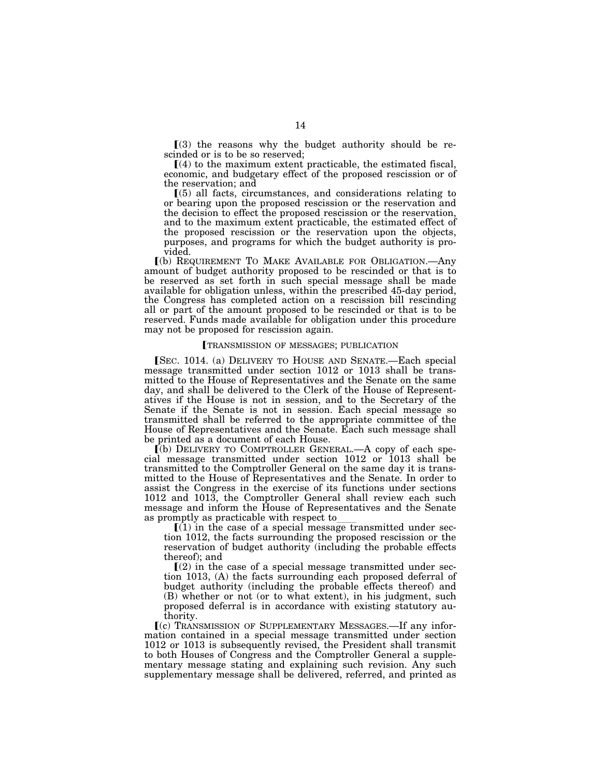$(3)$  the reasons why the budget authority should be rescinded or is to be so reserved;

 $(a)$  to the maximum extent practicable, the estimated fiscal, economic, and budgetary effect of the proposed rescission or of the reservation; and

 $(5)$  all facts, circumstances, and considerations relating to or bearing upon the proposed rescission or the reservation and the decision to effect the proposed rescission or the reservation, and to the maximum extent practicable, the estimated effect of the proposed rescission or the reservation upon the objects, purposes, and programs for which the budget authority is provided.

ø(b) REQUIREMENT TO MAKE AVAILABLE FOR OBLIGATION.—Any amount of budget authority proposed to be rescinded or that is to be reserved as set forth in such special message shall be made available for obligation unless, within the prescribed 45-day period, the Congress has completed action on a rescission bill rescinding all or part of the amount proposed to be rescinded or that is to be reserved. Funds made available for obligation under this procedure may not be proposed for rescission again.

#### øTRANSMISSION OF MESSAGES; PUBLICATION

øSEC. 1014. (a) DELIVERY TO HOUSE AND SENATE.—Each special message transmitted under section 1012 or 1013 shall be transmitted to the House of Representatives and the Senate on the same day, and shall be delivered to the Clerk of the House of Representatives if the House is not in session, and to the Secretary of the Senate if the Senate is not in session. Each special message so transmitted shall be referred to the appropriate committee of the House of Representatives and the Senate. Each such message shall be printed as a document of each House.

 $(6)$  DELIVERY TO COMPTROLLER GENERAL.—A copy of each special message transmitted under section 1012 or 1013 shall be transmitted to the Comptroller General on the same day it is transmitted to the House of Representatives and the Senate. In order to assist the Congress in the exercise of its functions under sections 1012 and 1013, the Comptroller General shall review each such message and inform the House of Representatives and the Senate as promptly as practicable with respect to

 $(1)$  in the case of a special message transmitted under section 1012, the facts surrounding the proposed rescission or the reservation of budget authority (including the probable effects thereof); and

 $(2)$  in the case of a special message transmitted under section 1013, (A) the facts surrounding each proposed deferral of budget authority (including the probable effects thereof) and (B) whether or not (or to what extent), in his judgment, such proposed deferral is in accordance with existing statutory authority.

ø(c) TRANSMISSION OF SUPPLEMENTARY MESSAGES.—If any information contained in a special message transmitted under section 1012 or 1013 is subsequently revised, the President shall transmit to both Houses of Congress and the Comptroller General a supplementary message stating and explaining such revision. Any such supplementary message shall be delivered, referred, and printed as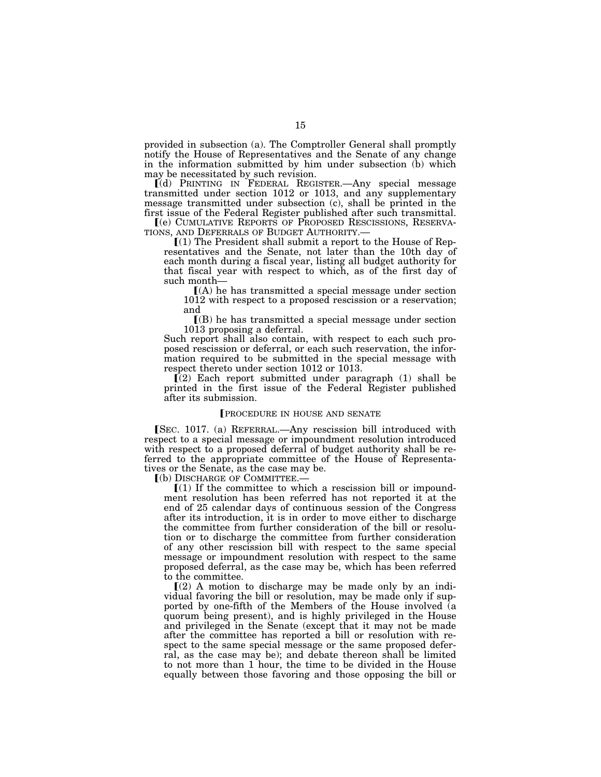provided in subsection (a). The Comptroller General shall promptly notify the House of Representatives and the Senate of any change in the information submitted by him under subsection (b) which may be necessitated by such revision.

ø(d) PRINTING IN FEDERAL REGISTER.—Any special message transmitted under section 1012 or 1013, and any supplementary message transmitted under subsection (c), shall be printed in the first issue of the Federal Register published after such transmittal.

TIONS, AND DEFERRALS OF BUDGET AUTHORITY.—<br>
[(1) The President shall submit a report to the House of Rep-

resentatives and the Senate, not later than the 10th day of each month during a fiscal year, listing all budget authority for that fiscal year with respect to which, as of the first day of such month—

 $(A)$  he has transmitted a special message under section 1012 with respect to a proposed rescission or a reservation; and

 $\Gamma(B)$  he has transmitted a special message under section 1013 proposing a deferral.

Such report shall also contain, with respect to each such proposed rescission or deferral, or each such reservation, the information required to be submitted in the special message with respect thereto under section 1012 or 1013.

 $(2)$  Each report submitted under paragraph  $(1)$  shall be printed in the first issue of the Federal Register published after its submission.

#### PROCEDURE IN HOUSE AND SENATE

øSEC. 1017. (a) REFERRAL.—Any rescission bill introduced with respect to a special message or impoundment resolution introduced with respect to a proposed deferral of budget authority shall be referred to the appropriate committee of the House of Representatives or the Senate, as the case may be.

ø(b) DISCHARGE OF COMMITTEE.—

 $(1)$  If the committee to which a rescission bill or impoundment resolution has been referred has not reported it at the end of 25 calendar days of continuous session of the Congress after its introduction, it is in order to move either to discharge the committee from further consideration of the bill or resolution or to discharge the committee from further consideration of any other rescission bill with respect to the same special message or impoundment resolution with respect to the same proposed deferral, as the case may be, which has been referred to the committee.

 $(2)$  A motion to discharge may be made only by an individual favoring the bill or resolution, may be made only if supported by one-fifth of the Members of the House involved (a quorum being present), and is highly privileged in the House and privileged in the Senate (except that it may not be made after the committee has reported a bill or resolution with respect to the same special message or the same proposed deferral, as the case may be); and debate thereon shall be limited to not more than 1 hour, the time to be divided in the House equally between those favoring and those opposing the bill or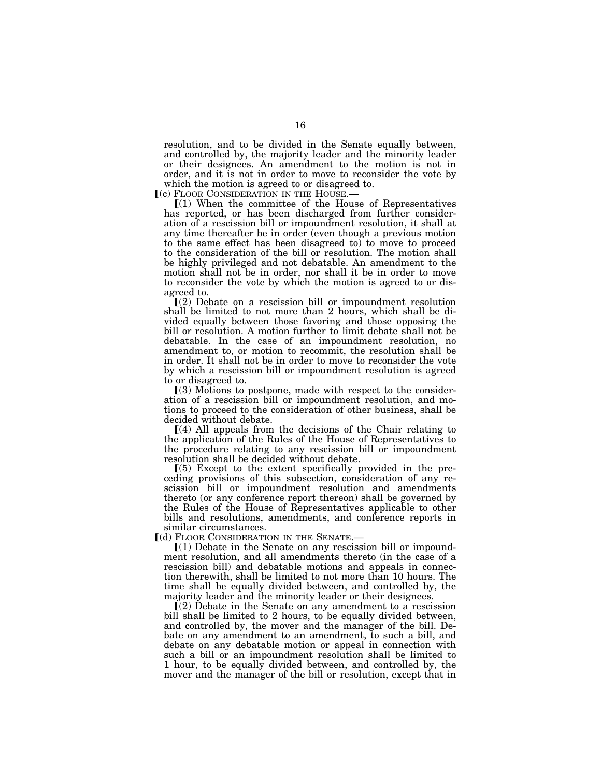resolution, and to be divided in the Senate equally between, and controlled by, the majority leader and the minority leader or their designees. An amendment to the motion is not in order, and it is not in order to move to reconsider the vote by which the motion is agreed to or disagreed to.<br> $[(c)$  FLOOR CONSIDERATION IN THE HOUSE.—

 $[(1)$  When the committee of the House of Representatives has reported, or has been discharged from further consideration of a rescission bill or impoundment resolution, it shall at any time thereafter be in order (even though a previous motion to the same effect has been disagreed to) to move to proceed to the consideration of the bill or resolution. The motion shall be highly privileged and not debatable. An amendment to the motion shall not be in order, nor shall it be in order to move to reconsider the vote by which the motion is agreed to or disagreed to.

 $(2)$  Debate on a rescission bill or impoundment resolution shall be limited to not more than 2 hours, which shall be divided equally between those favoring and those opposing the bill or resolution. A motion further to limit debate shall not be debatable. In the case of an impoundment resolution, no amendment to, or motion to recommit, the resolution shall be in order. It shall not be in order to move to reconsider the vote by which a rescission bill or impoundment resolution is agreed to or disagreed to.

 $(3)$  Motions to postpone, made with respect to the consideration of a rescission bill or impoundment resolution, and motions to proceed to the consideration of other business, shall be decided without debate.

 $(a)$  All appeals from the decisions of the Chair relating to the application of the Rules of the House of Representatives to the procedure relating to any rescission bill or impoundment resolution shall be decided without debate.

 $(5)$  Except to the extent specifically provided in the preceding provisions of this subsection, consideration of any rescission bill or impoundment resolution and amendments thereto (or any conference report thereon) shall be governed by the Rules of the House of Representatives applicable to other bills and resolutions, amendments, and conference reports in similar circumstances.

ø(d) FLOOR CONSIDERATION IN THE SENATE.—

 $[(1)$  Debate in the Senate on any rescission bill or impoundment resolution, and all amendments thereto (in the case of a rescission bill) and debatable motions and appeals in connection therewith, shall be limited to not more than 10 hours. The time shall be equally divided between, and controlled by, the majority leader and the minority leader or their designees.

 $(2)$  Debate in the Senate on any amendment to a rescission bill shall be limited to 2 hours, to be equally divided between, and controlled by, the mover and the manager of the bill. Debate on any amendment to an amendment, to such a bill, and debate on any debatable motion or appeal in connection with such a bill or an impoundment resolution shall be limited to 1 hour, to be equally divided between, and controlled by, the mover and the manager of the bill or resolution, except that in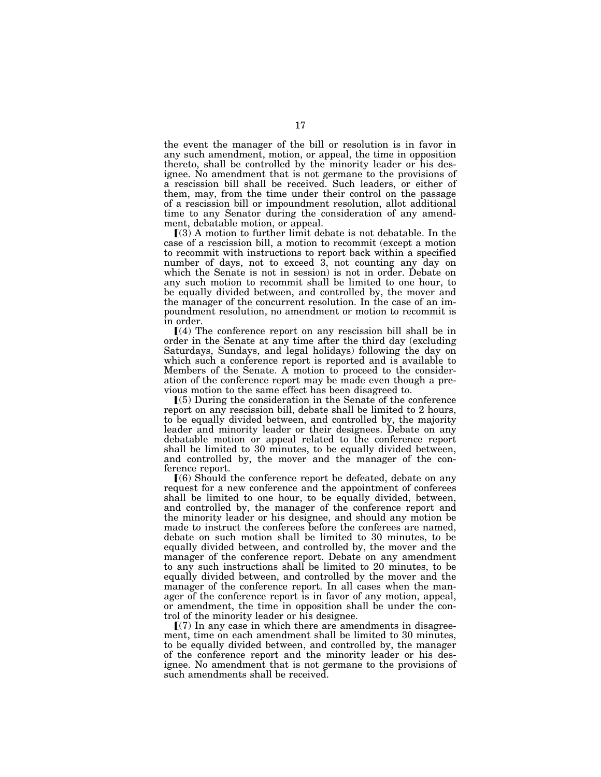the event the manager of the bill or resolution is in favor in any such amendment, motion, or appeal, the time in opposition thereto, shall be controlled by the minority leader or his designee. No amendment that is not germane to the provisions of a rescission bill shall be received. Such leaders, or either of them, may, from the time under their control on the passage of a rescission bill or impoundment resolution, allot additional time to any Senator during the consideration of any amendment, debatable motion, or appeal.

 $(3)$  A motion to further limit debate is not debatable. In the case of a rescission bill, a motion to recommit (except a motion to recommit with instructions to report back within a specified number of days, not to exceed 3, not counting any day on which the Senate is not in session) is not in order. Debate on any such motion to recommit shall be limited to one hour, to be equally divided between, and controlled by, the mover and the manager of the concurrent resolution. In the case of an impoundment resolution, no amendment or motion to recommit is in order.

 $(a)$  The conference report on any rescission bill shall be in order in the Senate at any time after the third day (excluding Saturdays, Sundays, and legal holidays) following the day on which such a conference report is reported and is available to Members of the Senate. A motion to proceed to the consideration of the conference report may be made even though a previous motion to the same effect has been disagreed to.

 $(5)$  During the consideration in the Senate of the conference report on any rescission bill, debate shall be limited to 2 hours, to be equally divided between, and controlled by, the majority leader and minority leader or their designees. Debate on any debatable motion or appeal related to the conference report shall be limited to 30 minutes, to be equally divided between, and controlled by, the mover and the manager of the conference report.

 $(6)$  Should the conference report be defeated, debate on any request for a new conference and the appointment of conferees shall be limited to one hour, to be equally divided, between, and controlled by, the manager of the conference report and the minority leader or his designee, and should any motion be made to instruct the conferees before the conferees are named, debate on such motion shall be limited to 30 minutes, to be equally divided between, and controlled by, the mover and the manager of the conference report. Debate on any amendment to any such instructions shall be limited to 20 minutes, to be equally divided between, and controlled by the mover and the manager of the conference report. In all cases when the manager of the conference report is in favor of any motion, appeal, or amendment, the time in opposition shall be under the control of the minority leader or his designee.

 $(7)$  In any case in which there are amendments in disagreement, time on each amendment shall be limited to 30 minutes, to be equally divided between, and controlled by, the manager of the conference report and the minority leader or his designee. No amendment that is not germane to the provisions of such amendments shall be received.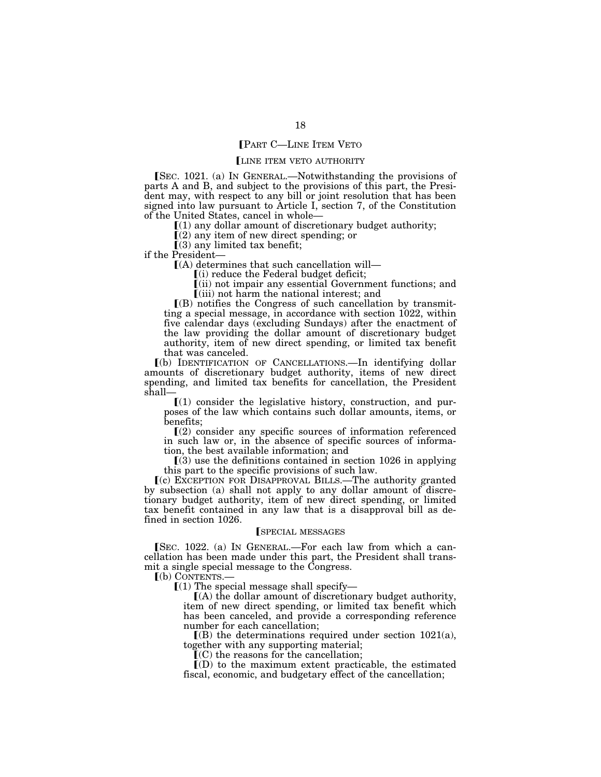#### øPART C—LINE ITEM VETO

#### LINE ITEM VETO AUTHORITY

[SEC. 1021. (a) IN GENERAL.—Notwithstanding the provisions of parts A and B, and subject to the provisions of this part, the President may, with respect to any bill or joint resolution that has been signed into law pursuant to Article I, section 7, of the Constitution of the United States, cancel in whole—

 $(1)$  any dollar amount of discretionary budget authority;

 $\Gamma(2)$  any item of new direct spending; or

 $(3)$  any limited tax benefit;

if the President—

 $[(A)$  determines that such cancellation will-

 $(i)$  reduce the Federal budget deficit;

ø(ii) not impair any essential Government functions; and ø(iii) not harm the national interest; and

 $($ B) notifies the Congress of such cancellation by transmitting a special message, in accordance with section 1022, within five calendar days (excluding Sundays) after the enactment of the law providing the dollar amount of discretionary budget authority, item of new direct spending, or limited tax benefit that was canceled.

ø(b) IDENTIFICATION OF CANCELLATIONS.—In identifying dollar amounts of discretionary budget authority, items of new direct spending, and limited tax benefits for cancellation, the President shall—

 $[(1)$  consider the legislative history, construction, and purposes of the law which contains such dollar amounts, items, or benefits;

 $(2)$  consider any specific sources of information referenced in such law or, in the absence of specific sources of information, the best available information; and

 $\Gamma(3)$  use the definitions contained in section 1026 in applying this part to the specific provisions of such law.

ø(c) EXCEPTION FOR DISAPPROVAL BILLS.—The authority granted by subsection (a) shall not apply to any dollar amount of discretionary budget authority, item of new direct spending, or limited tax benefit contained in any law that is a disapproval bill as defined in section 1026.

#### SPECIAL MESSAGES

øSEC. 1022. (a) IN GENERAL.—For each law from which a cancellation has been made under this part, the President shall transmit a single special message to the Congress.

ø(b) CONTENTS.—

 $(1)$  The special message shall specify—

 $(A)$  the dollar amount of discretionary budget authority, item of new direct spending, or limited tax benefit which has been canceled, and provide a corresponding reference number for each cancellation;

 $($ B) the determinations required under section 1021(a), together with any supporting material;

 $\mathbf{I}(\mathbf{C})$  the reasons for the cancellation;

 $\Gamma(D)$  to the maximum extent practicable, the estimated fiscal, economic, and budgetary effect of the cancellation;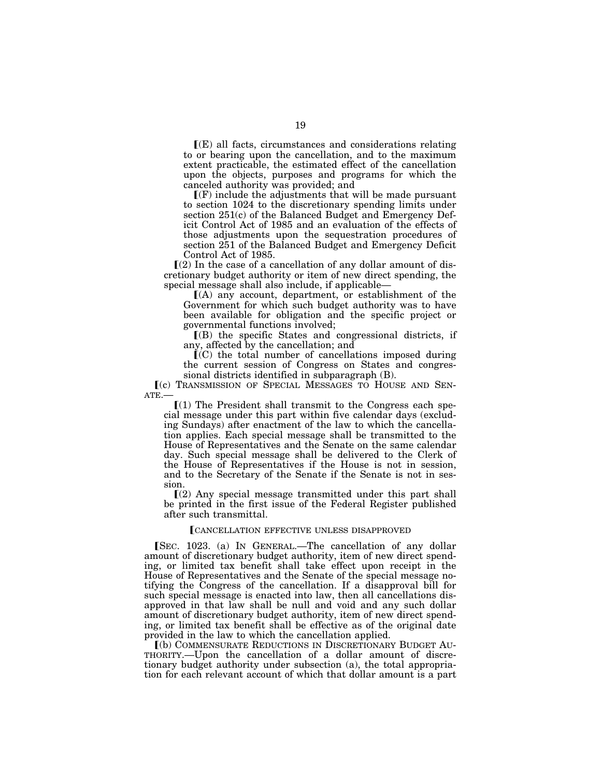$\Gamma(E)$  all facts, circumstances and considerations relating to or bearing upon the cancellation, and to the maximum extent practicable, the estimated effect of the cancellation upon the objects, purposes and programs for which the canceled authority was provided; and

 $\Gamma(F)$  include the adjustments that will be made pursuant to section 1024 to the discretionary spending limits under section 251(c) of the Balanced Budget and Emergency Deficit Control Act of 1985 and an evaluation of the effects of those adjustments upon the sequestration procedures of section 251 of the Balanced Budget and Emergency Deficit Control Act of 1985.

 $(2)$  In the case of a cancellation of any dollar amount of discretionary budget authority or item of new direct spending, the special message shall also include, if applicable—

 $(A)$  any account, department, or establishment of the Government for which such budget authority was to have been available for obligation and the specific project or governmental functions involved;

 $(R)$  the specific States and congressional districts, if any, affected by the cancellation; and

 $\dot{C}(C)$  the total number of cancellations imposed during the current session of Congress on States and congressional districts identified in subparagraph (B).

ø(c) TRANSMISSION OF SPECIAL MESSAGES TO HOUSE AND SEN-ATE.—

 $(1)$  The President shall transmit to the Congress each special message under this part within five calendar days (excluding Sundays) after enactment of the law to which the cancellation applies. Each special message shall be transmitted to the House of Representatives and the Senate on the same calendar day. Such special message shall be delivered to the Clerk of the House of Representatives if the House is not in session, and to the Secretary of the Senate if the Senate is not in session.

 $\Gamma(2)$  Any special message transmitted under this part shall be printed in the first issue of the Federal Register published after such transmittal.

#### CANCELLATION EFFECTIVE UNLESS DISAPPROVED

øSEC. 1023. (a) IN GENERAL.—The cancellation of any dollar amount of discretionary budget authority, item of new direct spending, or limited tax benefit shall take effect upon receipt in the House of Representatives and the Senate of the special message notifying the Congress of the cancellation. If a disapproval bill for such special message is enacted into law, then all cancellations disapproved in that law shall be null and void and any such dollar amount of discretionary budget authority, item of new direct spending, or limited tax benefit shall be effective as of the original date provided in the law to which the cancellation applied.

ø(b) COMMENSURATE REDUCTIONS IN DISCRETIONARY BUDGET AU-THORITY.—Upon the cancellation of a dollar amount of discretionary budget authority under subsection (a), the total appropriation for each relevant account of which that dollar amount is a part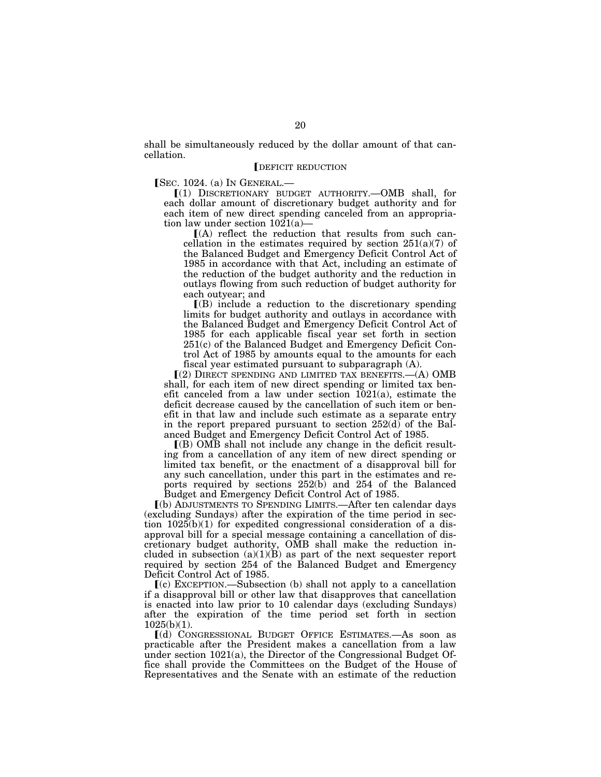shall be simultaneously reduced by the dollar amount of that cancellation.

#### DEFICIT REDUCTION

 $SEC. 1024.$  (a) In GENERAL.—

ø(1) DISCRETIONARY BUDGET AUTHORITY.—OMB shall, for each dollar amount of discretionary budget authority and for each item of new direct spending canceled from an appropriation law under section  $10\overline{2}1(a)$ 

 $(A)$  reflect the reduction that results from such cancellation in the estimates required by section  $251(a)(7)$  of the Balanced Budget and Emergency Deficit Control Act of 1985 in accordance with that Act, including an estimate of the reduction of the budget authority and the reduction in outlays flowing from such reduction of budget authority for each outyear; and

 $(R)$  include a reduction to the discretionary spending limits for budget authority and outlays in accordance with the Balanced Budget and Emergency Deficit Control Act of 1985 for each applicable fiscal year set forth in section 251(c) of the Balanced Budget and Emergency Deficit Control Act of 1985 by amounts equal to the amounts for each fiscal year estimated pursuant to subparagraph (A).

 $(2)$  DIRECT SPENDING AND LIMITED TAX BENEFITS.  $-(A)$  OMB shall, for each item of new direct spending or limited tax benefit canceled from a law under section 1021(a), estimate the deficit decrease caused by the cancellation of such item or benefit in that law and include such estimate as a separate entry in the report prepared pursuant to section 252(d) of the Balanced Budget and Emergency Deficit Control Act of 1985.

 $($ B) OMB shall not include any change in the deficit resulting from a cancellation of any item of new direct spending or limited tax benefit, or the enactment of a disapproval bill for any such cancellation, under this part in the estimates and reports required by sections 252(b) and 254 of the Balanced Budget and Emergency Deficit Control Act of 1985.

ø(b) ADJUSTMENTS TO SPENDING LIMITS.—After ten calendar days (excluding Sundays) after the expiration of the time period in section 1025(b)(1) for expedited congressional consideration of a disapproval bill for a special message containing a cancellation of discretionary budget authority, OMB shall make the reduction included in subsection  $(a)(1)(B)$  as part of the next sequester report required by section 254 of the Balanced Budget and Emergency Deficit Control Act of 1985.

 $(c)$  EXCEPTION.—Subsection (b) shall not apply to a cancellation if a disapproval bill or other law that disapproves that cancellation is enacted into law prior to 10 calendar days (excluding Sundays) after the expiration of the time period set forth in section 1025(b)(1).

ø(d) CONGRESSIONAL BUDGET OFFICE ESTIMATES.—As soon as practicable after the President makes a cancellation from a law under section 1021(a), the Director of the Congressional Budget Office shall provide the Committees on the Budget of the House of Representatives and the Senate with an estimate of the reduction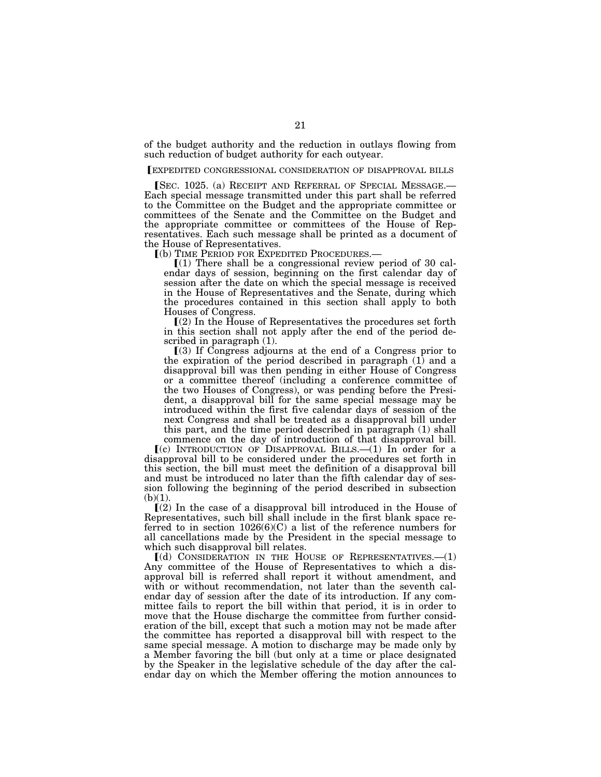of the budget authority and the reduction in outlays flowing from such reduction of budget authority for each outyear.

#### øEXPEDITED CONGRESSIONAL CONSIDERATION OF DISAPPROVAL BILLS

<sup>ø</sup>SEC. 1025. (a) RECEIPT AND REFERRAL OF SPECIAL MESSAGE.— Each special message transmitted under this part shall be referred to the Committee on the Budget and the appropriate committee or committees of the Senate and the Committee on the Budget and the appropriate committee or committees of the House of Representatives. Each such message shall be printed as a document of the House of Representatives.<br>
[(b) TIME PERIOD FOR EXPEDITED PROCEDURES.—

 $(1)$  There shall be a congressional review period of 30 calendar days of session, beginning on the first calendar day of session after the date on which the special message is received in the House of Representatives and the Senate, during which the procedures contained in this section shall apply to both Houses of Congress.

 $(2)$  In the House of Representatives the procedures set forth in this section shall not apply after the end of the period described in paragraph (1).

 $(3)$  If Congress adjourns at the end of a Congress prior to the expiration of the period described in paragraph (1) and a disapproval bill was then pending in either House of Congress or a committee thereof (including a conference committee of the two Houses of Congress), or was pending before the President, a disapproval bill for the same special message may be introduced within the first five calendar days of session of the next Congress and shall be treated as a disapproval bill under this part, and the time period described in paragraph (1) shall commence on the day of introduction of that disapproval bill.

 $(c)$  INTRODUCTION OF DISAPPROVAL BILLS.—(1) In order for a disapproval bill to be considered under the procedures set forth in this section, the bill must meet the definition of a disapproval bill and must be introduced no later than the fifth calendar day of session following the beginning of the period described in subsection  $(b)(1)$ .

 $(2)$  In the case of a disapproval bill introduced in the House of Representatives, such bill shall include in the first blank space referred to in section 1026(6)(C) a list of the reference numbers for all cancellations made by the President in the special message to which such disapproval bill relates.

 $\lceil$ (d) CONSIDERATION IN THE HOUSE OF REPRESENTATIVES.—(1) Any committee of the House of Representatives to which a disapproval bill is referred shall report it without amendment, and with or without recommendation, not later than the seventh calendar day of session after the date of its introduction. If any committee fails to report the bill within that period, it is in order to move that the House discharge the committee from further consideration of the bill, except that such a motion may not be made after the committee has reported a disapproval bill with respect to the same special message. A motion to discharge may be made only by a Member favoring the bill (but only at a time or place designated by the Speaker in the legislative schedule of the day after the calendar day on which the Member offering the motion announces to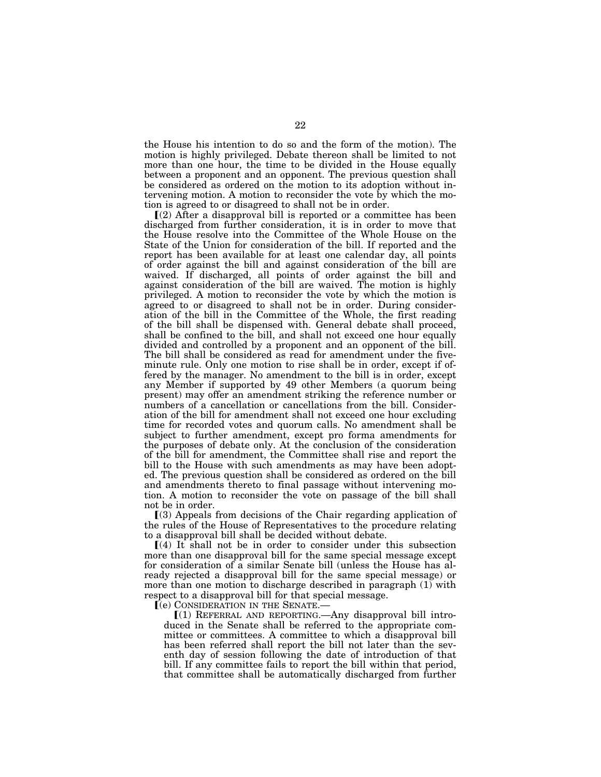the House his intention to do so and the form of the motion). The motion is highly privileged. Debate thereon shall be limited to not more than one hour, the time to be divided in the House equally between a proponent and an opponent. The previous question shall be considered as ordered on the motion to its adoption without intervening motion. A motion to reconsider the vote by which the motion is agreed to or disagreed to shall not be in order.

 $(2)$  After a disapproval bill is reported or a committee has been discharged from further consideration, it is in order to move that the House resolve into the Committee of the Whole House on the State of the Union for consideration of the bill. If reported and the report has been available for at least one calendar day, all points of order against the bill and against consideration of the bill are waived. If discharged, all points of order against the bill and against consideration of the bill are waived. The motion is highly privileged. A motion to reconsider the vote by which the motion is agreed to or disagreed to shall not be in order. During consideration of the bill in the Committee of the Whole, the first reading of the bill shall be dispensed with. General debate shall proceed, shall be confined to the bill, and shall not exceed one hour equally divided and controlled by a proponent and an opponent of the bill. The bill shall be considered as read for amendment under the fiveminute rule. Only one motion to rise shall be in order, except if offered by the manager. No amendment to the bill is in order, except any Member if supported by 49 other Members (a quorum being present) may offer an amendment striking the reference number or numbers of a cancellation or cancellations from the bill. Consideration of the bill for amendment shall not exceed one hour excluding time for recorded votes and quorum calls. No amendment shall be subject to further amendment, except pro forma amendments for the purposes of debate only. At the conclusion of the consideration of the bill for amendment, the Committee shall rise and report the bill to the House with such amendments as may have been adopted. The previous question shall be considered as ordered on the bill and amendments thereto to final passage without intervening motion. A motion to reconsider the vote on passage of the bill shall not be in order.

 $(3)$  Appeals from decisions of the Chair regarding application of the rules of the House of Representatives to the procedure relating to a disapproval bill shall be decided without debate.

 $(4)$  It shall not be in order to consider under this subsection more than one disapproval bill for the same special message except for consideration of a similar Senate bill (unless the House has already rejected a disapproval bill for the same special message) or more than one motion to discharge described in paragraph (1) with respect to a disapproval bill for that special message.

ø(e) CONSIDERATION IN THE SENATE.—

ø(1) REFERRAL AND REPORTING.—Any disapproval bill introduced in the Senate shall be referred to the appropriate committee or committees. A committee to which a disapproval bill has been referred shall report the bill not later than the seventh day of session following the date of introduction of that bill. If any committee fails to report the bill within that period, that committee shall be automatically discharged from further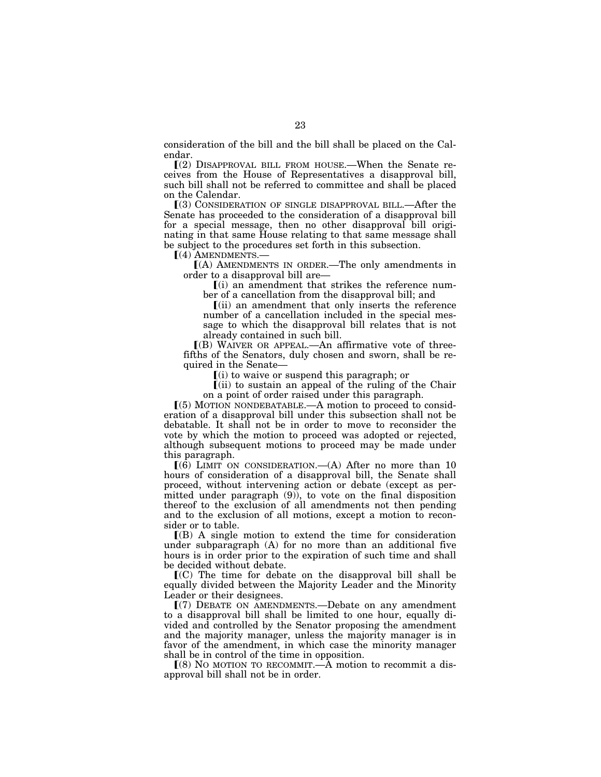consideration of the bill and the bill shall be placed on the Calendar.

 $(2)$  DISAPPROVAL BILL FROM HOUSE.—When the Senate receives from the House of Representatives a disapproval bill, such bill shall not be referred to committee and shall be placed on the Calendar.

ø(3) CONSIDERATION OF SINGLE DISAPPROVAL BILL.—After the Senate has proceeded to the consideration of a disapproval bill for a special message, then no other disapproval bill originating in that same House relating to that same message shall be subject to the procedures set forth in this subsection.

 $(4)$  AMENDMENTS.—

 $(A)$  AMENDMENTS IN ORDER.—The only amendments in order to a disapproval bill are—

 $(i)$  an amendment that strikes the reference number of a cancellation from the disapproval bill; and

 $\lceil$ (ii) an amendment that only inserts the reference number of a cancellation included in the special message to which the disapproval bill relates that is not already contained in such bill.

ø(B) WAIVER OR APPEAL.—An affirmative vote of threefifths of the Senators, duly chosen and sworn, shall be required in the Senate—

 $(i)$  to waive or suspend this paragraph; or

 $(iii)$  to sustain an appeal of the ruling of the Chair on a point of order raised under this paragraph.

 $(5)$  MOTION NONDEBATABLE.—A motion to proceed to consideration of a disapproval bill under this subsection shall not be debatable. It shall not be in order to move to reconsider the vote by which the motion to proceed was adopted or rejected, although subsequent motions to proceed may be made under this paragraph.

 $(6)$  LIMIT ON CONSIDERATION.—(A) After no more than 10 hours of consideration of a disapproval bill, the Senate shall proceed, without intervening action or debate (except as permitted under paragraph (9)), to vote on the final disposition thereof to the exclusion of all amendments not then pending and to the exclusion of all motions, except a motion to reconsider or to table.

 $(6)$  A single motion to extend the time for consideration under subparagraph (A) for no more than an additional five hours is in order prior to the expiration of such time and shall be decided without debate.

 $\mathbb{I}(C)$  The time for debate on the disapproval bill shall be equally divided between the Majority Leader and the Minority Leader or their designees.

 $(7)$  DEBATE ON AMENDMENTS.—Debate on any amendment to a disapproval bill shall be limited to one hour, equally divided and controlled by the Senator proposing the amendment and the majority manager, unless the majority manager is in favor of the amendment, in which case the minority manager shall be in control of the time in opposition.

 $(8)$  No motion to recommit a disapproval bill shall not be in order.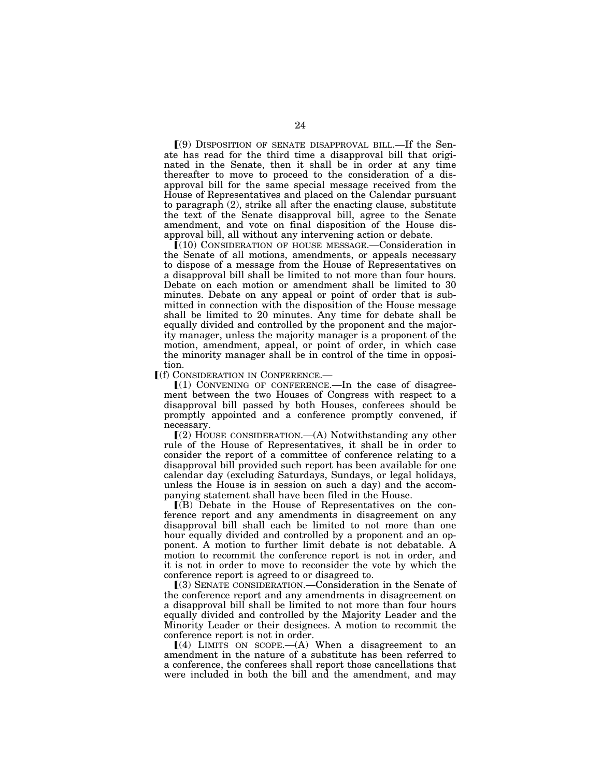$(9)$  DISPOSITION OF SENATE DISAPPROVAL BILL.—If the Senate has read for the third time a disapproval bill that originated in the Senate, then it shall be in order at any time thereafter to move to proceed to the consideration of a disapproval bill for the same special message received from the House of Representatives and placed on the Calendar pursuant to paragraph (2), strike all after the enacting clause, substitute the text of the Senate disapproval bill, agree to the Senate amendment, and vote on final disposition of the House disapproval bill, all without any intervening action or debate.

ø(10) CONSIDERATION OF HOUSE MESSAGE.—Consideration in the Senate of all motions, amendments, or appeals necessary to dispose of a message from the House of Representatives on a disapproval bill shall be limited to not more than four hours. Debate on each motion or amendment shall be limited to 30 minutes. Debate on any appeal or point of order that is submitted in connection with the disposition of the House message shall be limited to 20 minutes. Any time for debate shall be equally divided and controlled by the proponent and the majority manager, unless the majority manager is a proponent of the motion, amendment, appeal, or point of order, in which case the minority manager shall be in control of the time in opposition.

ø(f) CONSIDERATION IN CONFERENCE.—

 $(1)$  CONVENING OF CONFERENCE.—In the case of disagreement between the two Houses of Congress with respect to a disapproval bill passed by both Houses, conferees should be promptly appointed and a conference promptly convened, if necessary.

 $(Q)$  HOUSE CONSIDERATION.—(A) Notwithstanding any other rule of the House of Representatives, it shall be in order to consider the report of a committee of conference relating to a disapproval bill provided such report has been available for one calendar day (excluding Saturdays, Sundays, or legal holidays, unless the House is in session on such a day) and the accompanying statement shall have been filed in the House.

 $I(B)$  Debate in the House of Representatives on the conference report and any amendments in disagreement on any disapproval bill shall each be limited to not more than one hour equally divided and controlled by a proponent and an opponent. A motion to further limit debate is not debatable. A motion to recommit the conference report is not in order, and it is not in order to move to reconsider the vote by which the conference report is agreed to or disagreed to.

ø(3) SENATE CONSIDERATION.—Consideration in the Senate of the conference report and any amendments in disagreement on a disapproval bill shall be limited to not more than four hours equally divided and controlled by the Majority Leader and the Minority Leader or their designees. A motion to recommit the conference report is not in order.

 $(4)$  LIMITS ON SCOPE.— $(A)$  When a disagreement to an amendment in the nature of a substitute has been referred to a conference, the conferees shall report those cancellations that were included in both the bill and the amendment, and may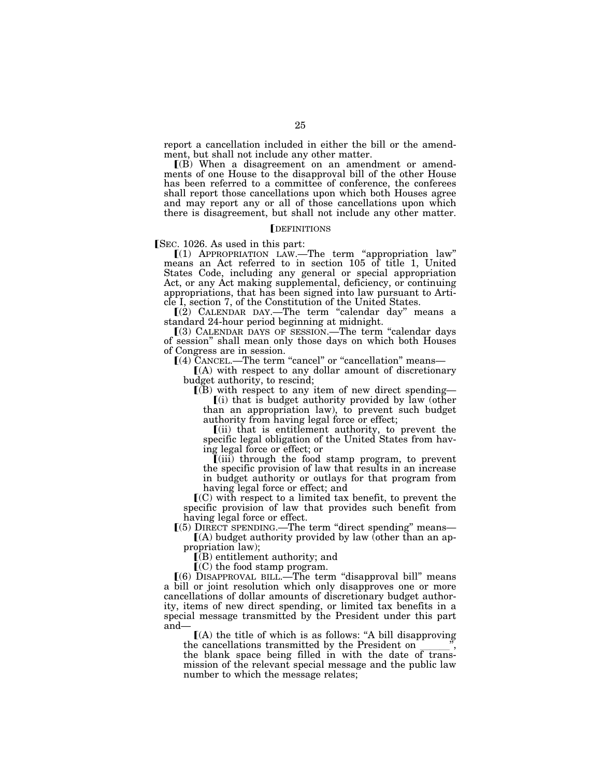report a cancellation included in either the bill or the amendment, but shall not include any other matter.

ø(B) When a disagreement on an amendment or amendments of one House to the disapproval bill of the other House has been referred to a committee of conference, the conferees shall report those cancellations upon which both Houses agree and may report any or all of those cancellations upon which there is disagreement, but shall not include any other matter.

#### **DEFINITIONS**

SEC. 1026. As used in this part:

ø(1) APPROPRIATION LAW.—The term ''appropriation law'' means an Act referred to in section 105 of title 1, United States Code, including any general or special appropriation Act, or any Act making supplemental, deficiency, or continuing appropriations, that has been signed into law pursuant to Article I, section 7, of the Constitution of the United States.

 $(a)$  CALENDAR DAY.—The term "calendar day" means a standard 24-hour period beginning at midnight.

ø(3) CALENDAR DAYS OF SESSION.—The term ''calendar days of session'' shall mean only those days on which both Houses of Congress are in session.

 $(4)$  CANCEL.—The term "cancel" or "cancellation" means—

 $[(A)$  with respect to any dollar amount of discretionary budget authority, to rescind;

 $($ B) with respect to any item of new direct spending—  $(i)$  that is budget authority provided by law (other than an appropriation law), to prevent such budget authority from having legal force or effect;

ø(ii) that is entitlement authority, to prevent the specific legal obligation of the United States from having legal force or effect; or

 $\left[\right(iii)\right]$  through the food stamp program, to prevent the specific provision of law that results in an increase in budget authority or outlays for that program from having legal force or effect; and

 $(C)$  with respect to a limited tax benefit, to prevent the specific provision of law that provides such benefit from having legal force or effect.

ø(5) DIRECT SPENDING.—The term ''direct spending'' means—

 $(A)$  budget authority provided by law (other than an appropriation law);

 $\overline{I(B)}$  entitlement authority; and

 $\mathbb{I}(\mathcal{C})$  the food stamp program.

ø(6) DISAPPROVAL BILL.—The term ''disapproval bill'' means a bill or joint resolution which only disapproves one or more cancellations of dollar amounts of discretionary budget authority, items of new direct spending, or limited tax benefits in a special message transmitted by the President under this part and—

 $(A)$  the title of which is as follows: "A bill disapproving the cancellations transmitted by the President on the blank space being filled in with the date of transmission of the relevant special message and the public law number to which the message relates;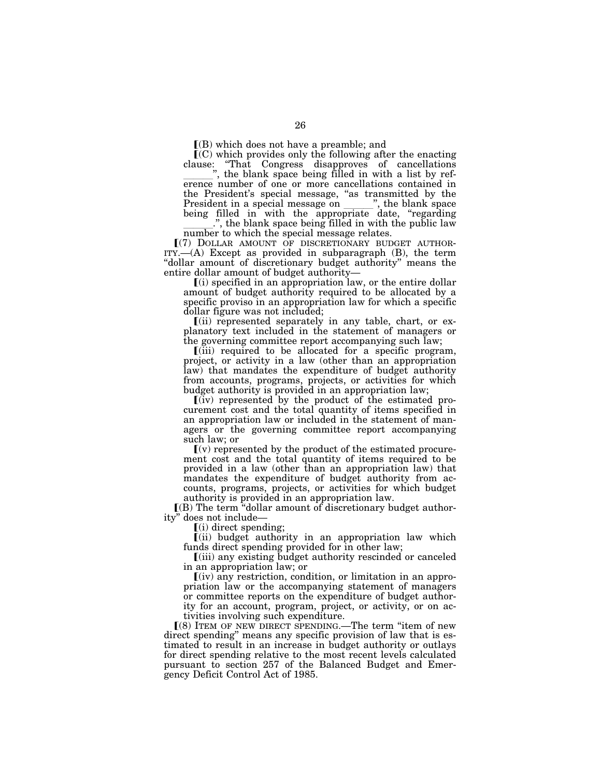$($ B) which does not have a preamble; and

 $\mathbf{C}(C)$  which provides only the following after the enacting clause: ''That Congress disapproves of cancellations

where  $\frac{1}{\text{erence}}$ , the blank space being filled in with a list by reference number of one or more cancellations contained in the President's special message, "as transmitted by the President in a special message on  $\frac{1}{\sqrt{2}}$ , the blank space President in a special message on \_\_\_\_\_\_", the blank space<br>being filled in with the appropriate date, "regarding

", the blank space being filled in with the public law number to which the special message relates.<br>
[(7) DOLLAR AMOUNT OF DISCRETIONARY BUDGET AUTHOR-

 $ITY. —(A)$  Except as provided in subparagraph (B), the term "dollar amount of discretionary budget authority" means the entire dollar amount of budget authority—

 $(i)$  specified in an appropriation law, or the entire dollar amount of budget authority required to be allocated by a specific proviso in an appropriation law for which a specific dollar figure was not included;

 $(iii)$  represented separately in any table, chart, or explanatory text included in the statement of managers or the governing committee report accompanying such law;

ø(iii) required to be allocated for a specific program, project, or activity in a law (other than an appropriation law) that mandates the expenditure of budget authority from accounts, programs, projects, or activities for which budget authority is provided in an appropriation law;

 $(iv)$  represented by the product of the estimated procurement cost and the total quantity of items specified in an appropriation law or included in the statement of managers or the governing committee report accompanying such law; or

 $(x)$  represented by the product of the estimated procurement cost and the total quantity of items required to be provided in a law (other than an appropriation law) that mandates the expenditure of budget authority from accounts, programs, projects, or activities for which budget authority is provided in an appropriation law.

ø(B) The term ''dollar amount of discretionary budget authority'' does not include—

 $(i)$  direct spending;

ø(ii) budget authority in an appropriation law which funds direct spending provided for in other law;

ø(iii) any existing budget authority rescinded or canceled in an appropriation law; or

 $(iv)$  any restriction, condition, or limitation in an appropriation law or the accompanying statement of managers or committee reports on the expenditure of budget authority for an account, program, project, or activity, or on activities involving such expenditure.

 $(8)$  ITEM OF NEW DIRECT SPENDING.—The term "item of new direct spending'' means any specific provision of law that is estimated to result in an increase in budget authority or outlays for direct spending relative to the most recent levels calculated pursuant to section 257 of the Balanced Budget and Emergency Deficit Control Act of 1985.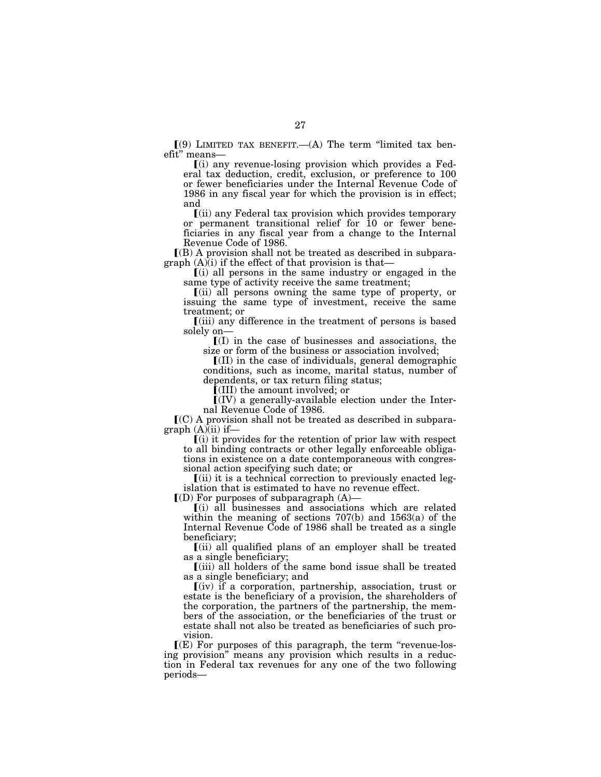$(9)$  LIMITED TAX BENEFIT.— $(A)$  The term "limited tax benefit'' means—

 $(i)$  any revenue-losing provision which provides a Federal tax deduction, credit, exclusion, or preference to 100 or fewer beneficiaries under the Internal Revenue Code of 1986 in any fiscal year for which the provision is in effect; and

ø(ii) any Federal tax provision which provides temporary or permanent transitional relief for 10 or fewer beneficiaries in any fiscal year from a change to the Internal Revenue Code of 1986.

 $(6)$  A provision shall not be treated as described in subparagraph  $(A)(i)$  if the effect of that provision is that-

 $(i)$  all persons in the same industry or engaged in the same type of activity receive the same treatment;

ø(ii) all persons owning the same type of property, or issuing the same type of investment, receive the same treatment; or

ø(iii) any difference in the treatment of persons is based solely on—

 $\P$ (I) in the case of businesses and associations, the size or form of the business or association involved;

ø(II) in the case of individuals, general demographic conditions, such as income, marital status, number of dependents, or tax return filing status;

ø(III) the amount involved; or

 $I(IV)$  a generally-available election under the Internal Revenue Code of 1986.

 $\mathcal{L}(\mathcal{C})$  A provision shall not be treated as described in subpara $graph (A)(ii)$  if—

 $(i)$  it provides for the retention of prior law with respect to all binding contracts or other legally enforceable obligations in existence on a date contemporaneous with congressional action specifying such date; or

 $(iii)$  it is a technical correction to previously enacted legislation that is estimated to have no revenue effect.

 $I(D)$  For purposes of subparagraph  $(A)$ —

 $(i)$  all businesses and associations which are related within the meaning of sections 707(b) and 1563(a) of the Internal Revenue Code of 1986 shall be treated as a single beneficiary;

ø(ii) all qualified plans of an employer shall be treated as a single beneficiary;

ø(iii) all holders of the same bond issue shall be treated as a single beneficiary; and

 $(iv)$  if a corporation, partnership, association, trust or estate is the beneficiary of a provision, the shareholders of the corporation, the partners of the partnership, the members of the association, or the beneficiaries of the trust or estate shall not also be treated as beneficiaries of such provision.

 $\mathbb{I}(E)$  For purposes of this paragraph, the term "revenue-losing provision'' means any provision which results in a reduction in Federal tax revenues for any one of the two following periods—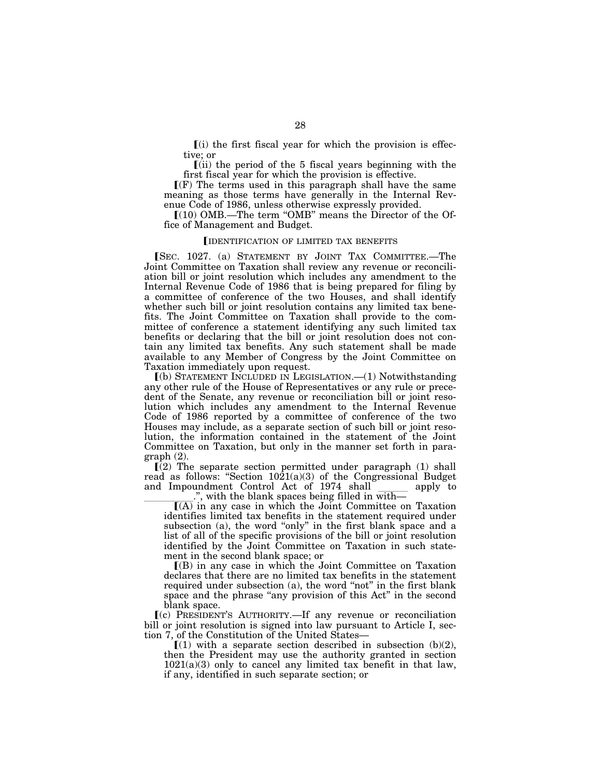$\lceil$ (i) the first fiscal year for which the provision is effective; or

 $(iii)$  the period of the 5 fiscal years beginning with the first fiscal year for which the provision is effective.

 $\Gamma(F)$  The terms used in this paragraph shall have the same meaning as those terms have generally in the Internal Revenue Code of 1986, unless otherwise expressly provided.

 $(10)$  OMB.—The term "OMB" means the Director of the Office of Management and Budget.

#### IDENTIFICATION OF LIMITED TAX BENEFITS

**SEC.** 1027. (a) STATEMENT BY JOINT TAX COMMITTEE.-The Joint Committee on Taxation shall review any revenue or reconciliation bill or joint resolution which includes any amendment to the Internal Revenue Code of 1986 that is being prepared for filing by a committee of conference of the two Houses, and shall identify whether such bill or joint resolution contains any limited tax benefits. The Joint Committee on Taxation shall provide to the committee of conference a statement identifying any such limited tax benefits or declaring that the bill or joint resolution does not contain any limited tax benefits. Any such statement shall be made available to any Member of Congress by the Joint Committee on Taxation immediately upon request.

 $(a)$  Statement Included in Legislation.— $(1)$  Notwithstanding any other rule of the House of Representatives or any rule or precedent of the Senate, any revenue or reconciliation bill or joint resolution which includes any amendment to the Internal Revenue Code of 1986 reported by a committee of conference of the two Houses may include, as a separate section of such bill or joint resolution, the information contained in the statement of the Joint Committee on Taxation, but only in the manner set forth in paragraph (2).

 $\Gamma(2)$  The separate section permitted under paragraph (1) shall read as follows: ''Section 1021(a)(3) of the Congressional Budget and Impoundment Control Act of 1974 shall apply to  $\therefore$  with the blank spaces being filled in with  $\frac{1}{2}$ 

.", with the blank spaces being filled in  $\overline{\text{with}}$ —  $\overline{A(A)}$  in any case in which the Joint Committee on Taxation identifies limited tax benefits in the statement required under subsection (a), the word "only" in the first blank space and a list of all of the specific provisions of the bill or joint resolution identified by the Joint Committee on Taxation in such statement in the second blank space; or

ø(B) in any case in which the Joint Committee on Taxation declares that there are no limited tax benefits in the statement required under subsection (a), the word "not" in the first blank space and the phrase "any provision of this Act" in the second blank space.

ø(c) PRESIDENT'S AUTHORITY.—If any revenue or reconciliation bill or joint resolution is signed into law pursuant to Article I, section 7, of the Constitution of the United States—

 $\Gamma(1)$  with a separate section described in subsection (b)(2), then the President may use the authority granted in section  $1021(a)(3)$  only to cancel any limited tax benefit in that law, if any, identified in such separate section; or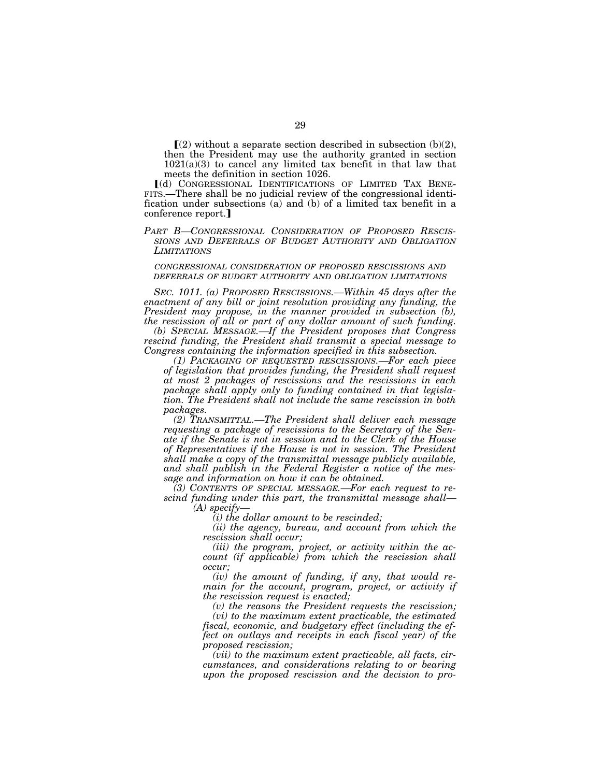$\Gamma(2)$  without a separate section described in subsection (b)(2), then the President may use the authority granted in section  $1021(a)(3)$  to cancel any limited tax benefit in that law that meets the definition in section 1026.<br>
[(d) CONGRESSIONAL IDENTIFICATIONS OF LIMITED TAX BENE-

FITS.—There shall be no judicial review of the congressional identification under subsections (a) and (b) of a limited tax benefit in a conference report.

#### *PART B—CONGRESSIONAL CONSIDERATION OF PROPOSED RESCIS-SIONS AND DEFERRALS OF BUDGET AUTHORITY AND OBLIGATION LIMITATIONS*

*CONGRESSIONAL CONSIDERATION OF PROPOSED RESCISSIONS AND DEFERRALS OF BUDGET AUTHORITY AND OBLIGATION LIMITATIONS*

*SEC. 1011. (a) PROPOSED RESCISSIONS.—Within 45 days after the enactment of any bill or joint resolution providing any funding, the President may propose, in the manner provided in subsection (b), the rescission of all or part of any dollar amount of such funding.* 

*(b) SPECIAL MESSAGE.—If the President proposes that Congress*  rescind funding, the President shall transmit a special message to *Congress containing the information specified in this subsection.* 

*(1) PACKAGING OF REQUESTED RESCISSIONS.—For each piece of legislation that provides funding, the President shall request at most 2 packages of rescissions and the rescissions in each package shall apply only to funding contained in that legislation. The President shall not include the same rescission in both packages.* 

*(2) TRANSMITTAL.—The President shall deliver each message requesting a package of rescissions to the Secretary of the Senate if the Senate is not in session and to the Clerk of the House of Representatives if the House is not in session. The President shall make a copy of the transmittal message publicly available, and shall publish in the Federal Register a notice of the message and information on how it can be obtained.* 

*(3) CONTENTS OF SPECIAL MESSAGE.—For each request to rescind funding under this part, the transmittal message shall— (A) specify—* 

*(i) the dollar amount to be rescinded;* 

*(ii) the agency, bureau, and account from which the rescission shall occur;* 

*(iii) the program, project, or activity within the account (if applicable) from which the rescission shall occur;* 

*(iv) the amount of funding, if any, that would remain for the account, program, project, or activity if the rescission request is enacted;* 

*(v) the reasons the President requests the rescission; (vi) to the maximum extent practicable, the estimated fiscal, economic, and budgetary effect (including the effect on outlays and receipts in each fiscal year) of the proposed rescission;* 

*(vii) to the maximum extent practicable, all facts, circumstances, and considerations relating to or bearing upon the proposed rescission and the decision to pro-*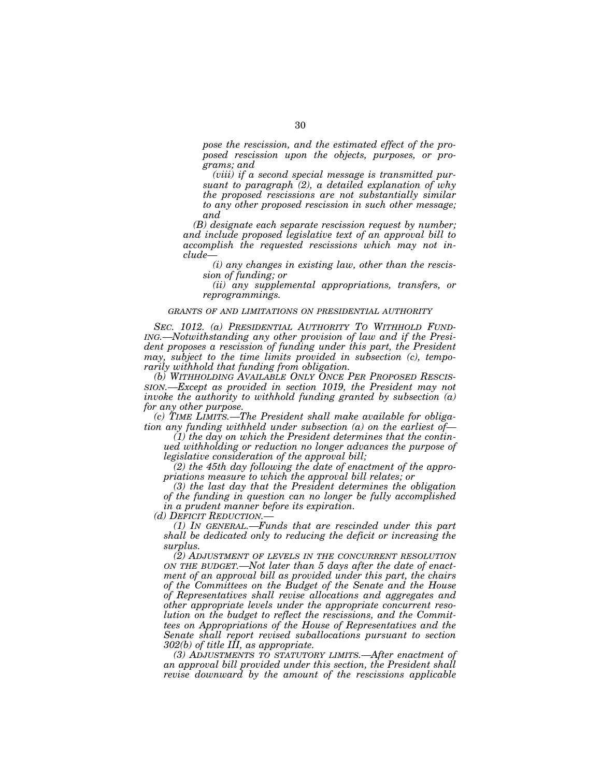*pose the rescission, and the estimated effect of the proposed rescission upon the objects, purposes, or programs; and* 

*(viii) if a second special message is transmitted pursuant to paragraph (2), a detailed explanation of why the proposed rescissions are not substantially similar to any other proposed rescission in such other message; and* 

*(B) designate each separate rescission request by number; and include proposed legislative text of an approval bill to accomplish the requested rescissions which may not include—* 

*(i) any changes in existing law, other than the rescission of funding; or* 

*(ii) any supplemental appropriations, transfers, or reprogrammings.* 

#### *GRANTS OF AND LIMITATIONS ON PRESIDENTIAL AUTHORITY*

*SEC. 1012. (a) PRESIDENTIAL AUTHORITY TO WITHHOLD FUND-ING.—Notwithstanding any other provision of law and if the President proposes a rescission of funding under this part, the President may, subject to the time limits provided in subsection (c), temporarily withhold that funding from obligation.* 

*(b) WITHHOLDING AVAILABLE ONLY ONCE PER PROPOSED RESCIS-SION.—Except as provided in section 1019, the President may not invoke the authority to withhold funding granted by subsection (a) for any other purpose.* 

*(c) TIME LIMITS.—The President shall make available for obligation any funding withheld under subsection (a) on the earliest of—* 

*(1) the day on which the President determines that the continued withholding or reduction no longer advances the purpose of legislative consideration of the approval bill;* 

*(2) the 45th day following the date of enactment of the appropriations measure to which the approval bill relates; or* 

*(3) the last day that the President determines the obligation of the funding in question can no longer be fully accomplished in a prudent manner before its expiration.* 

*(d) DEFICIT REDUCTION.—* 

*(1) IN GENERAL.—Funds that are rescinded under this part shall be dedicated only to reducing the deficit or increasing the surplus.* 

*(2) ADJUSTMENT OF LEVELS IN THE CONCURRENT RESOLUTION ON THE BUDGET.—Not later than 5 days after the date of enactment of an approval bill as provided under this part, the chairs of the Committees on the Budget of the Senate and the House of Representatives shall revise allocations and aggregates and other appropriate levels under the appropriate concurrent resolution on the budget to reflect the rescissions, and the Committees on Appropriations of the House of Representatives and the Senate shall report revised suballocations pursuant to section 302(b) of title III, as appropriate.* 

*(3) ADJUSTMENTS TO STATUTORY LIMITS.—After enactment of an approval bill provided under this section, the President shall revise downward by the amount of the rescissions applicable*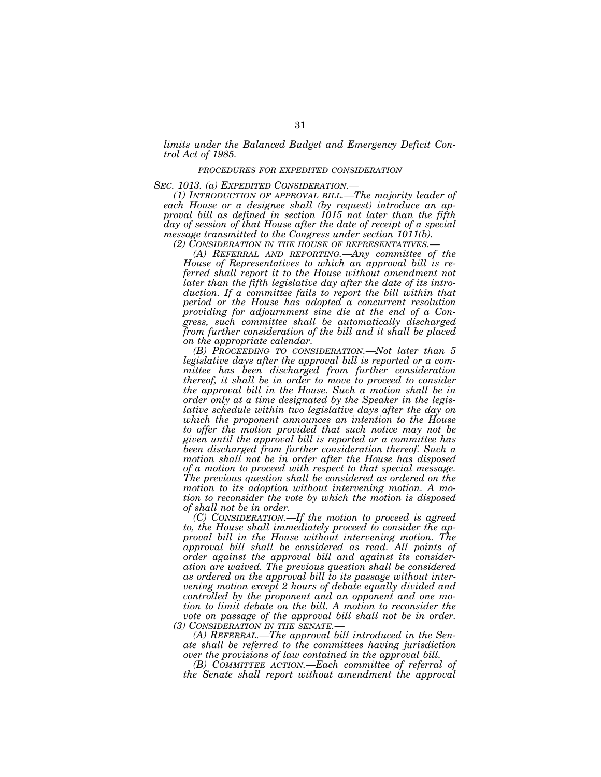*limits under the Balanced Budget and Emergency Deficit Control Act of 1985.* 

#### *PROCEDURES FOR EXPEDITED CONSIDERATION*

*SEC. 1013. (a) EXPEDITED CONSIDERATION.— (1) INTRODUCTION OF APPROVAL BILL.—The majority leader of each House or a designee shall (by request) introduce an approval bill as defined in section 1015 not later than the fifth day of session of that House after the date of receipt of a special message transmitted to the Congress under section 1011(b).* 

*(A) REFERRAL AND REPORTING.—Any committee of the House of Representatives to which an approval bill is re*ferred shall report it to the House without amendment not *later than the fifth legislative day after the date of its introduction. If a committee fails to report the bill within that period or the House has adopted a concurrent resolution providing for adjournment sine die at the end of a Congress, such committee shall be automatically discharged from further consideration of the bill and it shall be placed on the appropriate calendar.* 

*(B) PROCEEDING TO CONSIDERATION.—Not later than 5 legislative days after the approval bill is reported or a committee has been discharged from further consideration thereof, it shall be in order to move to proceed to consider the approval bill in the House. Such a motion shall be in order only at a time designated by the Speaker in the legislative schedule within two legislative days after the day on which the proponent announces an intention to the House to offer the motion provided that such notice may not be given until the approval bill is reported or a committee has been discharged from further consideration thereof. Such a motion shall not be in order after the House has disposed of a motion to proceed with respect to that special message. The previous question shall be considered as ordered on the motion to its adoption without intervening motion. A motion to reconsider the vote by which the motion is disposed of shall not be in order.* 

*(C) CONSIDERATION.—If the motion to proceed is agreed to, the House shall immediately proceed to consider the approval bill in the House without intervening motion. The approval bill shall be considered as read. All points of order against the approval bill and against its consideration are waived. The previous question shall be considered as ordered on the approval bill to its passage without intervening motion except 2 hours of debate equally divided and controlled by the proponent and an opponent and one motion to limit debate on the bill. A motion to reconsider the vote on passage of the approval bill shall not be in order. (3) CONSIDERATION IN THE SENATE.—* 

*(A) REFERRAL.—The approval bill introduced in the Senate shall be referred to the committees having jurisdiction over the provisions of law contained in the approval bill.* 

*(B) COMMITTEE ACTION.—Each committee of referral of the Senate shall report without amendment the approval*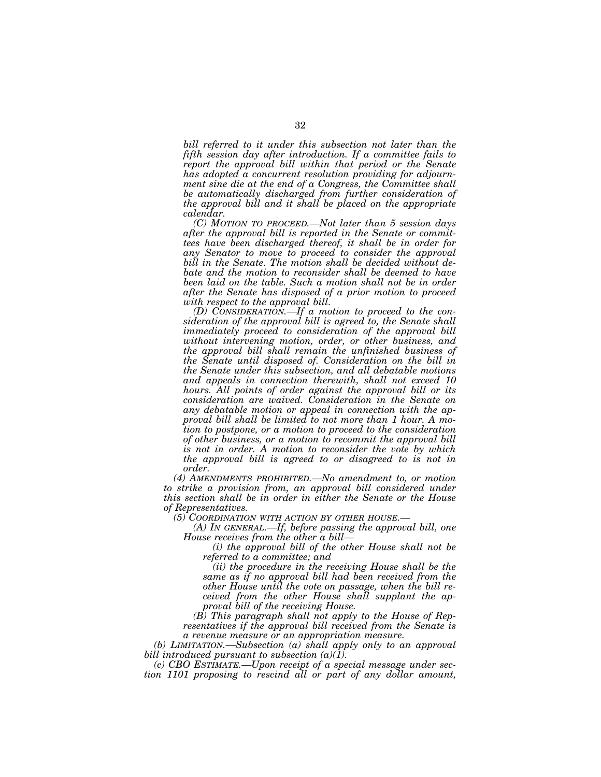*bill referred to it under this subsection not later than the fifth session day after introduction. If a committee fails to report the approval bill within that period or the Senate has adopted a concurrent resolution providing for adjournment sine die at the end of a Congress, the Committee shall be automatically discharged from further consideration of the approval bill and it shall be placed on the appropriate calendar.* 

*(C) MOTION TO PROCEED.—Not later than 5 session days after the approval bill is reported in the Senate or committees have been discharged thereof, it shall be in order for any Senator to move to proceed to consider the approval bill in the Senate. The motion shall be decided without debate and the motion to reconsider shall be deemed to have been laid on the table. Such a motion shall not be in order after the Senate has disposed of a prior motion to proceed with respect to the approval bill.* 

*(D) CONSIDERATION.—If a motion to proceed to the con*sideration of the approval bill is agreed to, the Senate shall *immediately proceed to consideration of the approval bill without intervening motion, order, or other business, and the approval bill shall remain the unfinished business of the Senate until disposed of. Consideration on the bill in the Senate under this subsection, and all debatable motions and appeals in connection therewith, shall not exceed 10 hours. All points of order against the approval bill or its consideration are waived. Consideration in the Senate on any debatable motion or appeal in connection with the approval bill shall be limited to not more than 1 hour. A motion to postpone, or a motion to proceed to the consideration of other business, or a motion to recommit the approval bill is not in order. A motion to reconsider the vote by which the approval bill is agreed to or disagreed to is not in order.* 

*(4) AMENDMENTS PROHIBITED.—No amendment to, or motion to strike a provision from, an approval bill considered under this section shall be in order in either the Senate or the House of Representatives.* 

*(A) IN GENERAL.—If, before passing the approval bill, one House receives from the other a bill—* 

*(i) the approval bill of the other House shall not be referred to a committee; and* 

*(ii) the procedure in the receiving House shall be the same as if no approval bill had been received from the other House until the vote on passage, when the bill received from the other House shall supplant the approval bill of the receiving House.* 

*(B) This paragraph shall not apply to the House of Representatives if the approval bill received from the Senate is a revenue measure or an appropriation measure.* 

*(b) LIMITATION.—Subsection (a) shall apply only to an approval bill introduced pursuant to subsection (a)(1).* 

*(c) CBO ESTIMATE.—Upon receipt of a special message under section 1101 proposing to rescind all or part of any dollar amount,*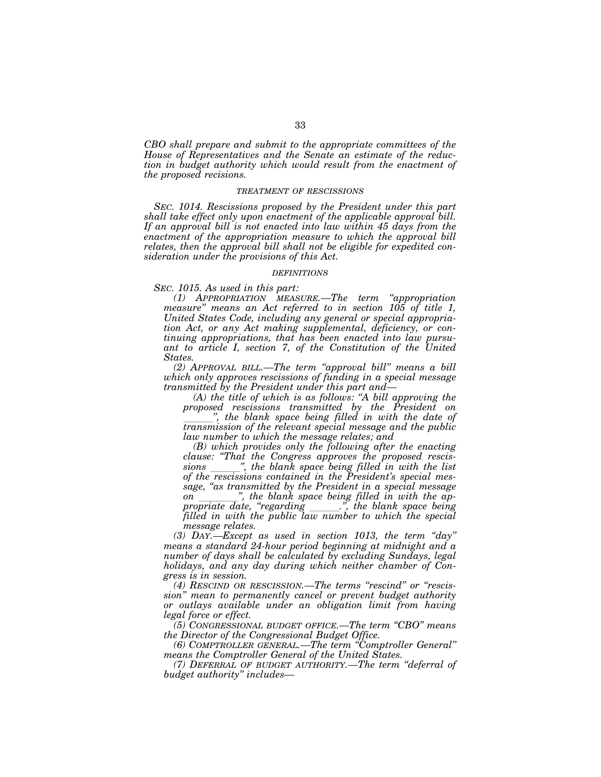*CBO shall prepare and submit to the appropriate committees of the House of Representatives and the Senate an estimate of the reduction in budget authority which would result from the enactment of the proposed recisions.* 

#### *TREATMENT OF RESCISSIONS*

*SEC. 1014. Rescissions proposed by the President under this part shall take effect only upon enactment of the applicable approval bill. If an approval bill is not enacted into law within 45 days from the*  enactment of the appropriation measure to which the approval bill *relates, then the approval bill shall not be eligible for expedited consideration under the provisions of this Act.* 

#### *DEFINITIONS*

*SEC. 1015. As used in this part:* 

*(1) APPROPRIATION MEASURE.—The term ''appropriation measure'' means an Act referred to in section 105 of title 1, United States Code, including any general or special appropriation Act, or any Act making supplemental, deficiency, or continuing appropriations, that has been enacted into law pursuant to article I, section 7, of the Constitution of the United States.* 

*(2) APPROVAL BILL.—The term ''approval bill'' means a bill which only approves rescissions of funding in a special message transmitted by the President under this part and—* 

*(A) the title of which is as follows: ''A bill approving the proposed rescissions transmitted by the President on* 

if the blank space being filled in with the date of *transmission of the relevant special message and the public transmission of the relevant special message and the public law number to which the message relates; and* 

*(B) which provides only the following after the enacting clause: ''That the Congress approves the proposed rescissions* lll*'', the blank space being filled in with the list of the rescissions contained in the President's special message, ''as transmitted by the President in a special message on* llll*'', the blank space being filled in with the appropriate date, ''regarding* lll*.'', the blank space being filled in with the public law number to which the special message relates.* 

*(3) DAY.—Except as used in section 1013, the term ''day'' means a standard 24-hour period beginning at midnight and a number of days shall be calculated by excluding Sundays, legal holidays, and any day during which neither chamber of Congress is in session.* 

*(4) RESCIND OR RESCISSION.—The terms ''rescind'' or ''rescission'' mean to permanently cancel or prevent budget authority or outlays available under an obligation limit from having legal force or effect.* 

*(5) CONGRESSIONAL BUDGET OFFICE.—The term ''CBO'' means the Director of the Congressional Budget Office.* 

*(6) COMPTROLLER GENERAL.—The term ''Comptroller General'' means the Comptroller General of the United States.* 

*(7) DEFERRAL OF BUDGET AUTHORITY.—The term ''deferral of budget authority'' includes—*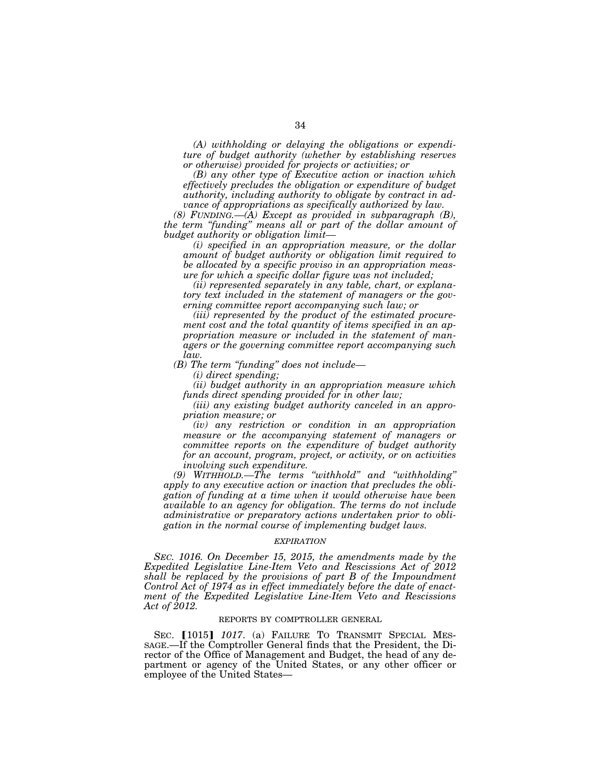*(A) withholding or delaying the obligations or expenditure of budget authority (whether by establishing reserves or otherwise) provided for projects or activities; or* 

*(B) any other type of Executive action or inaction which effectively precludes the obligation or expenditure of budget authority, including authority to obligate by contract in advance of appropriations as specifically authorized by law.* 

*(8) FUNDING.—(A) Except as provided in subparagraph (B), the term ''funding'' means all or part of the dollar amount of budget authority or obligation limit—* 

*(i) specified in an appropriation measure, or the dollar amount of budget authority or obligation limit required to be allocated by a specific proviso in an appropriation measure for which a specific dollar figure was not included;* 

*(ii) represented separately in any table, chart, or explanatory text included in the statement of managers or the governing committee report accompanying such law; or* 

*(iii) represented by the product of the estimated procurement cost and the total quantity of items specified in an appropriation measure or included in the statement of managers or the governing committee report accompanying such law.* 

*(B) The term ''funding'' does not include—* 

*(i) direct spending;* 

*(ii) budget authority in an appropriation measure which funds direct spending provided for in other law;* 

*(iii) any existing budget authority canceled in an appropriation measure; or* 

*(iv) any restriction or condition in an appropriation measure or the accompanying statement of managers or committee reports on the expenditure of budget authority for an account, program, project, or activity, or on activities involving such expenditure.* 

*(9) WITHHOLD.—The terms ''withhold'' and ''withholding'' apply to any executive action or inaction that precludes the obligation of funding at a time when it would otherwise have been available to an agency for obligation. The terms do not include administrative or preparatory actions undertaken prior to obligation in the normal course of implementing budget laws.* 

#### *EXPIRATION*

*SEC. 1016. On December 15, 2015, the amendments made by the Expedited Legislative Line-Item Veto and Rescissions Act of 2012 shall be replaced by the provisions of part B of the Impoundment Control Act of 1974 as in effect immediately before the date of enactment of the Expedited Legislative Line-Item Veto and Rescissions Act of 2012.* 

#### REPORTS BY COMPTROLLER GENERAL

SEC. **[1015] 1017.** (a) FAILURE TO TRANSMIT SPECIAL MES-SAGE.—If the Comptroller General finds that the President, the Director of the Office of Management and Budget, the head of any department or agency of the United States, or any other officer or employee of the United States—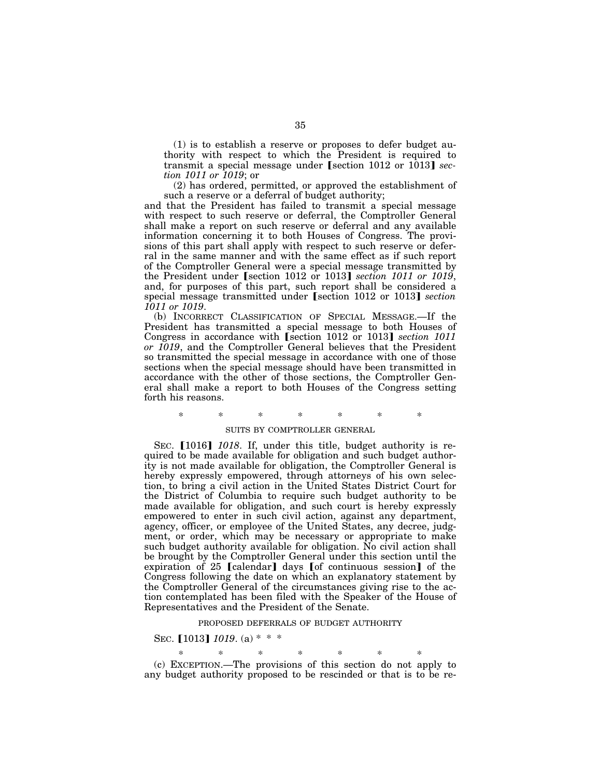(1) is to establish a reserve or proposes to defer budget authority with respect to which the President is required to transmit a special message under [section 1012 or 1013] *section 1011 or 1019*; or

(2) has ordered, permitted, or approved the establishment of such a reserve or a deferral of budget authority;

and that the President has failed to transmit a special message with respect to such reserve or deferral, the Comptroller General shall make a report on such reserve or deferral and any available information concerning it to both Houses of Congress. The provisions of this part shall apply with respect to such reserve or deferral in the same manner and with the same effect as if such report of the Comptroller General were a special message transmitted by the President under Section 1012 or 1013 *section 1011 or 1019*, and, for purposes of this part, such report shall be considered a special message transmitted under [section 1012 or 1013] section *1011 or 1019*.

(b) INCORRECT CLASSIFICATION OF SPECIAL MESSAGE.—If the President has transmitted a special message to both Houses of Congress in accordance with *[section 1012 or 1013] section 1011 or 1019*, and the Comptroller General believes that the President so transmitted the special message in accordance with one of those sections when the special message should have been transmitted in accordance with the other of those sections, the Comptroller General shall make a report to both Houses of the Congress setting forth his reasons.

\* \* \* \* \* \* \*

#### SUITS BY COMPTROLLER GENERAL

SEC. [1016] *1018*. If, under this title, budget authority is required to be made available for obligation and such budget authority is not made available for obligation, the Comptroller General is hereby expressly empowered, through attorneys of his own selection, to bring a civil action in the United States District Court for the District of Columbia to require such budget authority to be made available for obligation, and such court is hereby expressly empowered to enter in such civil action, against any department, agency, officer, or employee of the United States, any decree, judgment, or order, which may be necessary or appropriate to make such budget authority available for obligation. No civil action shall be brought by the Comptroller General under this section until the expiration of  $25$  [calendar] days [of continuous session] of the Congress following the date on which an explanatory statement by the Comptroller General of the circumstances giving rise to the action contemplated has been filed with the Speaker of the House of Representatives and the President of the Senate.

#### PROPOSED DEFERRALS OF BUDGET AUTHORITY

#### SEC. **[1013]** *1019*. (a) \* \* \*

\* \* \* \* \* \* \* (c) EXCEPTION.—The provisions of this section do not apply to any budget authority proposed to be rescinded or that is to be re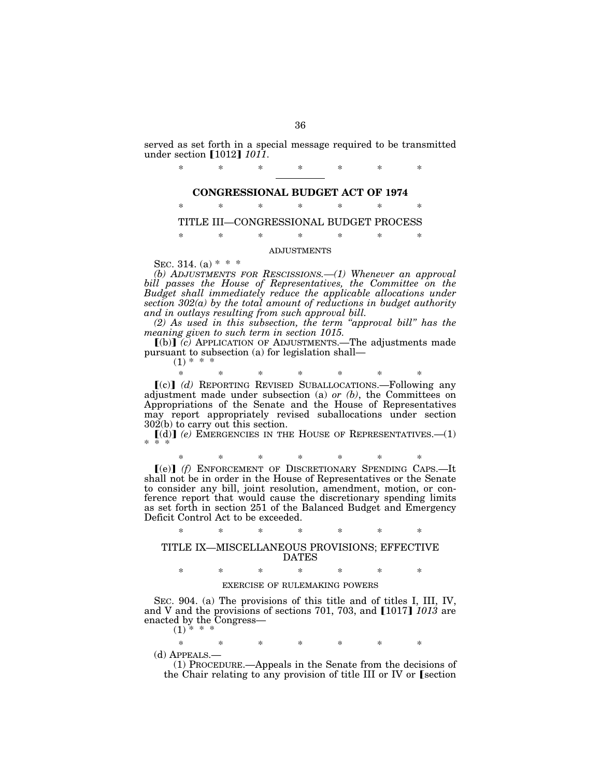served as set forth in a special message required to be transmitted under section [1012] *1011*.

\* \* \* \* \* \* \*

#### **CONGRESSIONAL BUDGET ACT OF 1974**

#### \* \* \* \* \* \* \* TITLE III—CONGRESSIONAL BUDGET PROCESS

\* \* \* \* \* \* \*

#### ADJUSTMENTS

SEC. 314. (a)  $* * *$ 

*(b) ADJUSTMENTS FOR RESCISSIONS.—(1) Whenever an approval bill passes the House of Representatives, the Committee on the Budget shall immediately reduce the applicable allocations under section 302(a) by the total amount of reductions in budget authority and in outlays resulting from such approval bill.* 

*(2) As used in this subsection, the term ''approval bill'' has the meaning given to such term in section 1015.* 

 $[(b)]$  $(c)$  APPLICATION OF ADJUSTMENTS.—The adjustments made pursuant to subsection (a) for legislation shall—

 $(1)$  \* \* \*

\* \* \* \* \* \* \* ø(c)¿ *(d)* REPORTING REVISED SUBALLOCATIONS.—Following any

adjustment made under subsection (a) *or (b)*, the Committees on Appropriations of the Senate and the House of Representatives may report appropriately revised suballocations under section 302(b) to carry out this section.

 $\lceil$ (d) $\rceil$  (e) EMERGENCIES IN THE HOUSE OF REPRESENTATIVES.—(1) \* \* \*

\* \* \* \* \* \* \* **[(e)]** (f) ENFORCEMENT OF DISCRETIONARY SPENDING CAPS.-It shall not be in order in the House of Representatives or the Senate to consider any bill, joint resolution, amendment, motion, or conference report that would cause the discretionary spending limits as set forth in section 251 of the Balanced Budget and Emergency Deficit Control Act to be exceeded.

\* \* \* \* \* \* \* TITLE IX—MISCELLANEOUS PROVISIONS; EFFECTIVE DATES

\* \* \* \* \* \* \*

#### EXERCISE OF RULEMAKING POWERS

SEC. 904. (a) The provisions of this title and of titles I, III, IV, and V and the provisions of sections 701, 703, and [1017] 1013 are enacted by the Congress—  $(1)$ 

\* \* \* \* \* \* \*

(d) APPEALS.—

(1) PROCEDURE.—Appeals in the Senate from the decisions of the Chair relating to any provision of title III or IV or  $[section]$